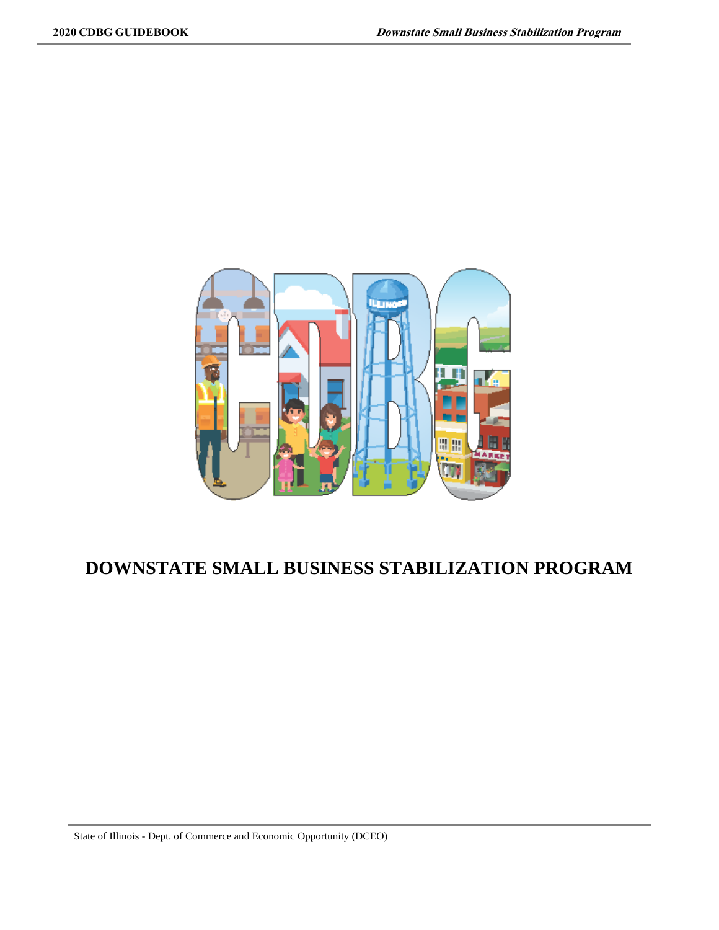

### **DOWNSTATE SMALL BUSINESS STABILIZATION PROGRAM**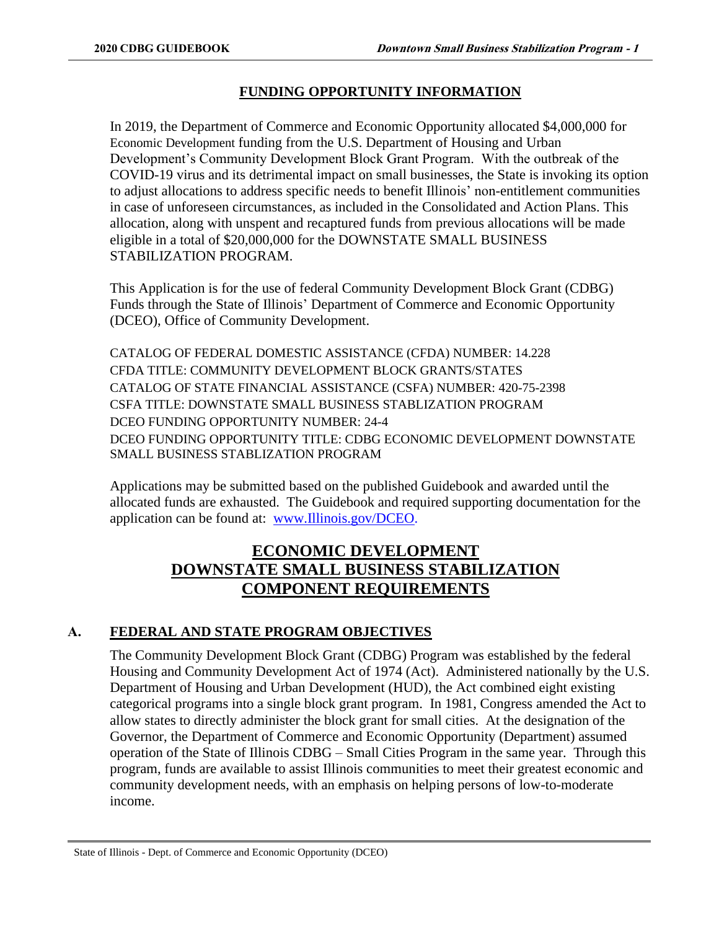### **FUNDING OPPORTUNITY INFORMATION**

In 2019, the Department of Commerce and Economic Opportunity allocated \$4,000,000 for Economic Development funding from the U.S. Department of Housing and Urban Development's Community Development Block Grant Program. With the outbreak of the COVID-19 virus and its detrimental impact on small businesses, the State is invoking its option to adjust allocations to address specific needs to benefit Illinois' non-entitlement communities in case of unforeseen circumstances, as included in the Consolidated and Action Plans. This allocation, along with unspent and recaptured funds from previous allocations will be made eligible in a total of \$20,000,000 for the DOWNSTATE SMALL BUSINESS STABILIZATION PROGRAM.

This Application is for the use of federal Community Development Block Grant (CDBG) Funds through the State of Illinois' Department of Commerce and Economic Opportunity (DCEO), Office of Community Development.

CATALOG OF FEDERAL DOMESTIC ASSISTANCE (CFDA) NUMBER: 14.228 CFDA TITLE: COMMUNITY DEVELOPMENT BLOCK GRANTS/STATES CATALOG OF STATE FINANCIAL ASSISTANCE (CSFA) NUMBER: 420-75-2398 CSFA TITLE: DOWNSTATE SMALL BUSINESS STABLIZATION PROGRAM DCEO FUNDING OPPORTUNITY NUMBER: 24-4 DCEO FUNDING OPPORTUNITY TITLE: CDBG ECONOMIC DEVELOPMENT DOWNSTATE SMALL BUSINESS STABLIZATION PROGRAM

Applications may be submitted based on the published Guidebook and awarded until the allocated funds are exhausted. The Guidebook and required supporting documentation for the application can be found at: [www.Illinois.gov/DCEO.](http://www.illinois.gov/DCEO)

### **ECONOMIC DEVELOPMENT DOWNSTATE SMALL BUSINESS STABILIZATION COMPONENT REQUIREMENTS**

### **A. FEDERAL AND STATE PROGRAM OBJECTIVES**

The Community Development Block Grant (CDBG) Program was established by the federal Housing and Community Development Act of 1974 (Act). Administered nationally by the U.S. Department of Housing and Urban Development (HUD), the Act combined eight existing categorical programs into a single block grant program. In 1981, Congress amended the Act to allow states to directly administer the block grant for small cities. At the designation of the Governor, the Department of Commerce and Economic Opportunity (Department) assumed operation of the State of Illinois CDBG – Small Cities Program in the same year. Through this program, funds are available to assist Illinois communities to meet their greatest economic and community development needs, with an emphasis on helping persons of low-to-moderate income.

State of Illinois - Dept. of Commerce and Economic Opportunity (DCEO)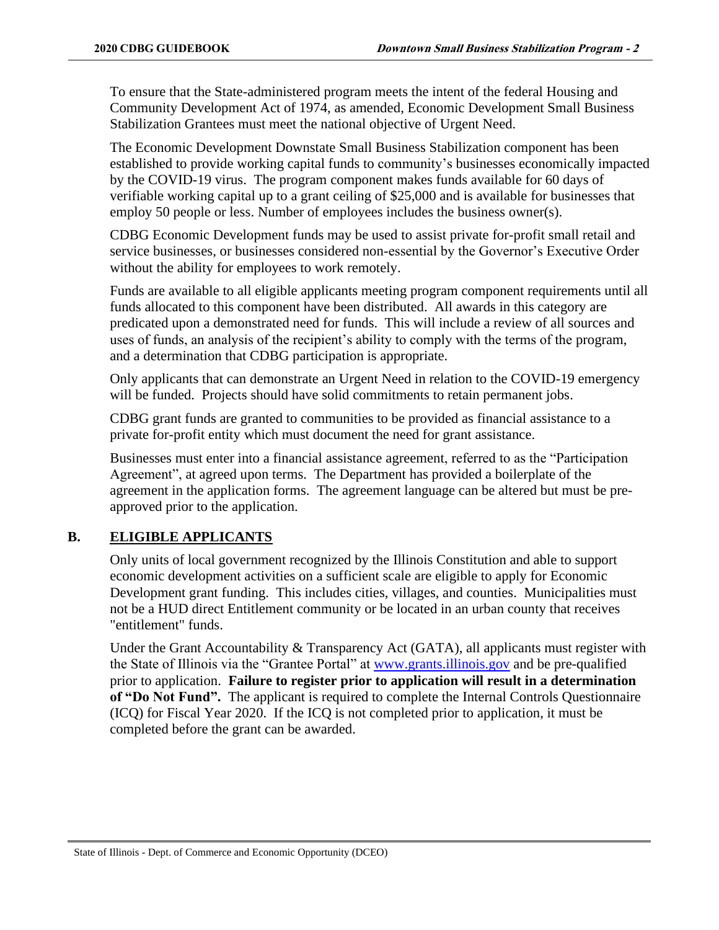To ensure that the State-administered program meets the intent of the federal Housing and Community Development Act of 1974, as amended, Economic Development Small Business Stabilization Grantees must meet the national objective of Urgent Need.

The Economic Development Downstate Small Business Stabilization component has been established to provide working capital funds to community's businesses economically impacted by the COVID-19 virus. The program component makes funds available for 60 days of verifiable working capital up to a grant ceiling of \$25,000 and is available for businesses that employ 50 people or less. Number of employees includes the business owner(s).

CDBG Economic Development funds may be used to assist private for-profit small retail and service businesses, or businesses considered non-essential by the Governor's Executive Order without the ability for employees to work remotely.

Funds are available to all eligible applicants meeting program component requirements until all funds allocated to this component have been distributed. All awards in this category are predicated upon a demonstrated need for funds. This will include a review of all sources and uses of funds, an analysis of the recipient's ability to comply with the terms of the program, and a determination that CDBG participation is appropriate.

Only applicants that can demonstrate an Urgent Need in relation to the COVID-19 emergency will be funded. Projects should have solid commitments to retain permanent jobs.

CDBG grant funds are granted to communities to be provided as financial assistance to a private for-profit entity which must document the need for grant assistance.

Businesses must enter into a financial assistance agreement, referred to as the "Participation Agreement", at agreed upon terms. The Department has provided a boilerplate of the agreement in the application forms. The agreement language can be altered but must be preapproved prior to the application.

### **B. ELIGIBLE APPLICANTS**

Only units of local government recognized by the Illinois Constitution and able to support economic development activities on a sufficient scale are eligible to apply for Economic Development grant funding. This includes cities, villages, and counties. Municipalities must not be a HUD direct Entitlement community or be located in an urban county that receives "entitlement" funds.

Under the Grant Accountability & Transparency Act (GATA), all applicants must register with the State of Illinois via the "Grantee Portal" at [www.grants.illinois.gov](http://www.grants.illinois.gov/) and be pre-qualified prior to application. **Failure to register prior to application will result in a determination of "Do Not Fund".** The applicant is required to complete the Internal Controls Questionnaire (ICQ) for Fiscal Year 2020. If the ICQ is not completed prior to application, it must be completed before the grant can be awarded.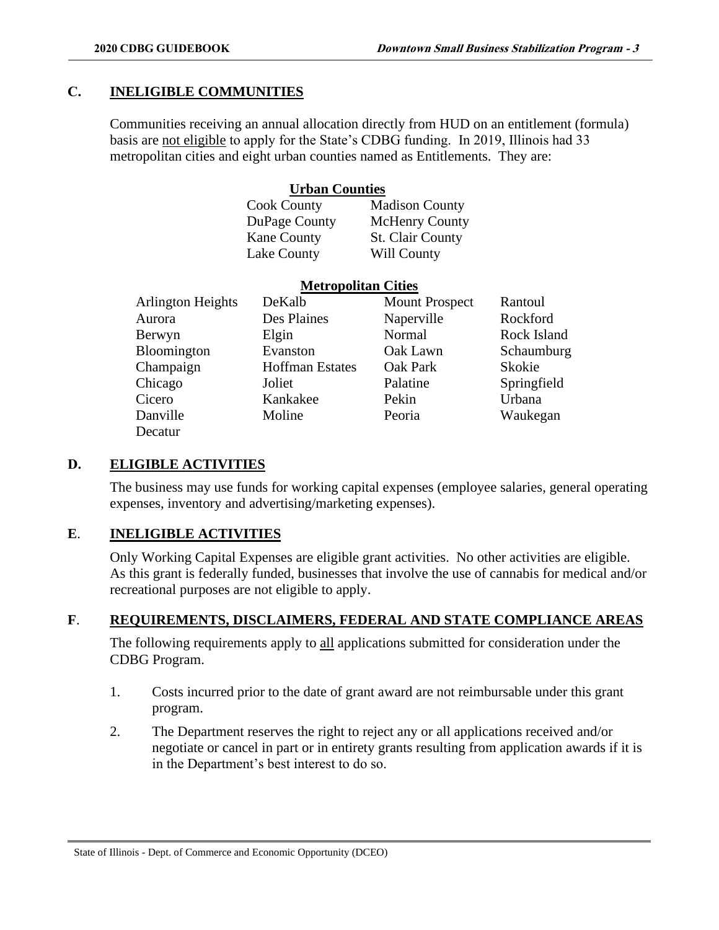### **C. INELIGIBLE COMMUNITIES**

Communities receiving an annual allocation directly from HUD on an entitlement (formula) basis are not eligible to apply for the State's CDBG funding. In 2019, Illinois had 33 metropolitan cities and eight urban counties named as Entitlements. They are:

### **Urban Counties**

| <b>Madison County</b>   |
|-------------------------|
| <b>McHenry County</b>   |
| <b>St. Clair County</b> |
| Will County             |
|                         |

**Metropolitan Cities**

|                          | <b>NEUROPOHILAN</b> CILIES |                       |             |  |  |  |  |
|--------------------------|----------------------------|-----------------------|-------------|--|--|--|--|
| <b>Arlington Heights</b> | DeKalb                     | <b>Mount Prospect</b> | Rantoul     |  |  |  |  |
| Aurora                   | Des Plaines                | Naperville            | Rockford    |  |  |  |  |
| Berwyn                   | Elgin                      | Normal                | Rock Island |  |  |  |  |
| Bloomington              | Evanston                   | Oak Lawn              | Schaumburg  |  |  |  |  |
| Champaign                | <b>Hoffman Estates</b>     | Oak Park              | Skokie      |  |  |  |  |
| Chicago                  | Joliet                     | Palatine              | Springfield |  |  |  |  |
| Cicero                   | Kankakee                   | Pekin                 | Urbana      |  |  |  |  |
| Danville                 | Moline                     | Peoria                | Waukegan    |  |  |  |  |
| Decatur                  |                            |                       |             |  |  |  |  |

### **D. ELIGIBLE ACTIVITIES**

The business may use funds for working capital expenses (employee salaries, general operating expenses, inventory and advertising/marketing expenses).

### **E**. **INELIGIBLE ACTIVITIES**

Only Working Capital Expenses are eligible grant activities. No other activities are eligible. As this grant is federally funded, businesses that involve the use of cannabis for medical and/or recreational purposes are not eligible to apply.

### **F**. **REQUIREMENTS, DISCLAIMERS, FEDERAL AND STATE COMPLIANCE AREAS**

The following requirements apply to all applications submitted for consideration under the CDBG Program.

- 1. Costs incurred prior to the date of grant award are not reimbursable under this grant program.
- 2. The Department reserves the right to reject any or all applications received and/or negotiate or cancel in part or in entirety grants resulting from application awards if it is in the Department's best interest to do so.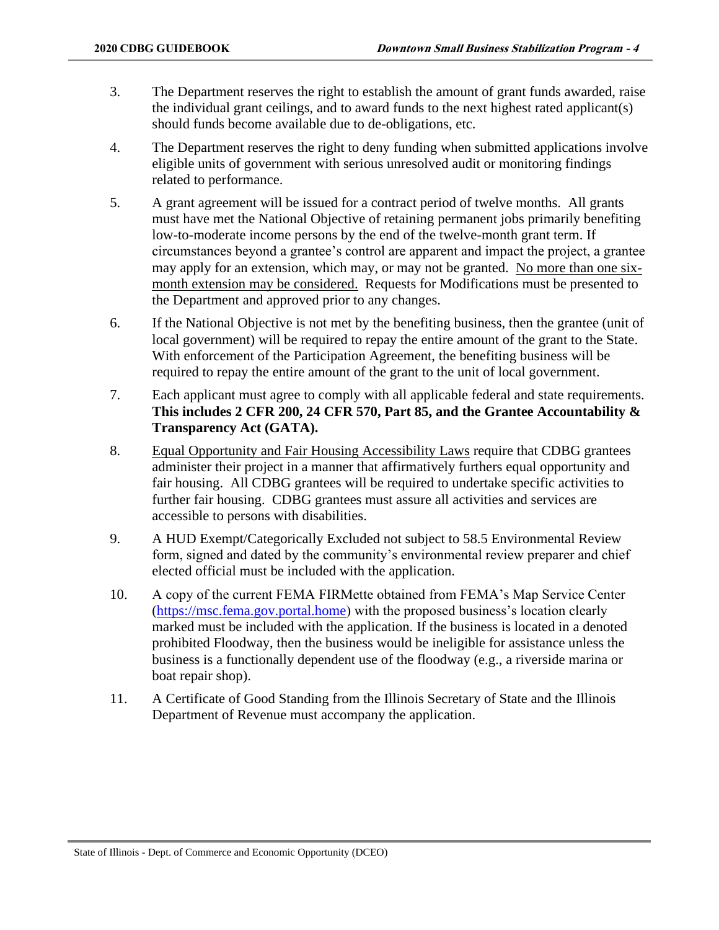- 3. The Department reserves the right to establish the amount of grant funds awarded, raise the individual grant ceilings, and to award funds to the next highest rated applicant(s) should funds become available due to de-obligations, etc.
- 4. The Department reserves the right to deny funding when submitted applications involve eligible units of government with serious unresolved audit or monitoring findings related to performance.
- 5. A grant agreement will be issued for a contract period of twelve months. All grants must have met the National Objective of retaining permanent jobs primarily benefiting low-to-moderate income persons by the end of the twelve-month grant term. If circumstances beyond a grantee's control are apparent and impact the project, a grantee may apply for an extension, which may, or may not be granted. No more than one sixmonth extension may be considered. Requests for Modifications must be presented to the Department and approved prior to any changes.
- 6. If the National Objective is not met by the benefiting business, then the grantee (unit of local government) will be required to repay the entire amount of the grant to the State. With enforcement of the Participation Agreement, the benefiting business will be required to repay the entire amount of the grant to the unit of local government.
- 7. Each applicant must agree to comply with all applicable federal and state requirements. **This includes 2 CFR 200, 24 CFR 570, Part 85, and the Grantee Accountability & Transparency Act (GATA).**
- 8. Equal Opportunity and Fair Housing Accessibility Laws require that CDBG grantees administer their project in a manner that affirmatively furthers equal opportunity and fair housing. All CDBG grantees will be required to undertake specific activities to further fair housing. CDBG grantees must assure all activities and services are accessible to persons with disabilities.
- 9. A HUD Exempt/Categorically Excluded not subject to 58.5 Environmental Review form, signed and dated by the community's environmental review preparer and chief elected official must be included with the application.
- 10. A copy of the current FEMA FIRMette obtained from FEMA's Map Service Center [\(https://msc.fema.gov.portal.home\)](https://msc.fema.gov.portal.home/) with the proposed business's location clearly marked must be included with the application. If the business is located in a denoted prohibited Floodway, then the business would be ineligible for assistance unless the business is a functionally dependent use of the floodway (e.g., a riverside marina or boat repair shop).
- 11. A Certificate of Good Standing from the Illinois Secretary of State and the Illinois Department of Revenue must accompany the application.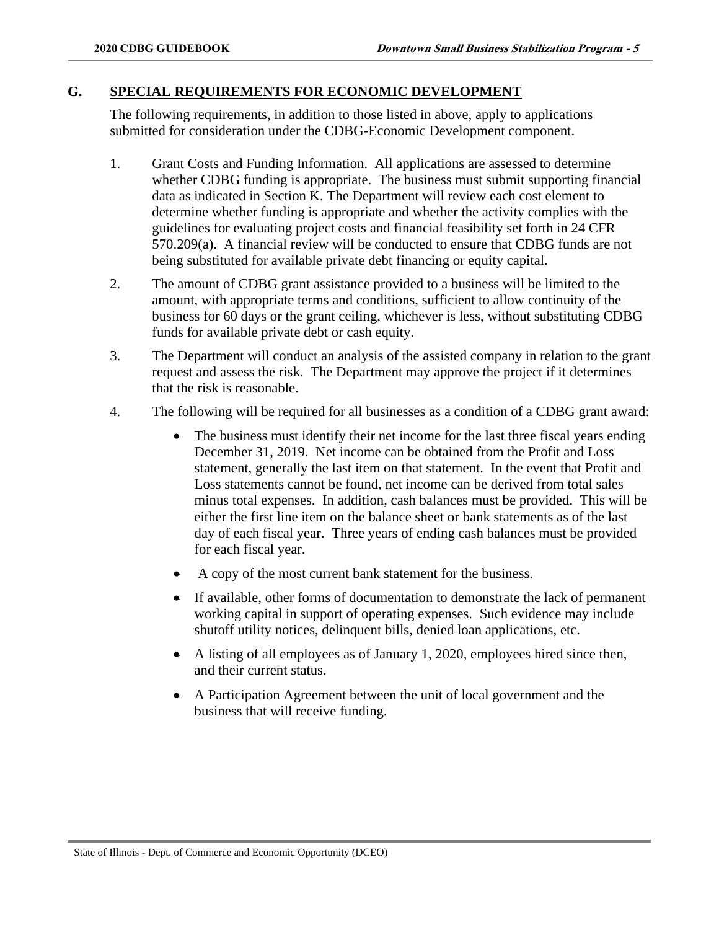#### **G. SPECIAL REQUIREMENTS FOR ECONOMIC DEVELOPMENT**

The following requirements, in addition to those listed in above, apply to applications submitted for consideration under the CDBG-Economic Development component.

- 1. Grant Costs and Funding Information. All applications are assessed to determine whether CDBG funding is appropriate. The business must submit supporting financial data as indicated in Section K. The Department will review each cost element to determine whether funding is appropriate and whether the activity complies with the guidelines for evaluating project costs and financial feasibility set forth in 24 CFR 570.209(a). A financial review will be conducted to ensure that CDBG funds are not being substituted for available private debt financing or equity capital.
- 2. The amount of CDBG grant assistance provided to a business will be limited to the amount, with appropriate terms and conditions, sufficient to allow continuity of the business for 60 days or the grant ceiling, whichever is less, without substituting CDBG funds for available private debt or cash equity.
- 3. The Department will conduct an analysis of the assisted company in relation to the grant request and assess the risk. The Department may approve the project if it determines that the risk is reasonable.
- 4. The following will be required for all businesses as a condition of a CDBG grant award:
	- The business must identify their net income for the last three fiscal years ending December 31, 2019. Net income can be obtained from the Profit and Loss statement, generally the last item on that statement. In the event that Profit and Loss statements cannot be found, net income can be derived from total sales minus total expenses. In addition, cash balances must be provided. This will be either the first line item on the balance sheet or bank statements as of the last day of each fiscal year. Three years of ending cash balances must be provided for each fiscal year.
	- A copy of the most current bank statement for the business.
	- If available, other forms of documentation to demonstrate the lack of permanent working capital in support of operating expenses. Such evidence may include shutoff utility notices, delinquent bills, denied loan applications, etc.
	- A listing of all employees as of January 1, 2020, employees hired since then, and their current status.
	- A Participation Agreement between the unit of local government and the business that will receive funding.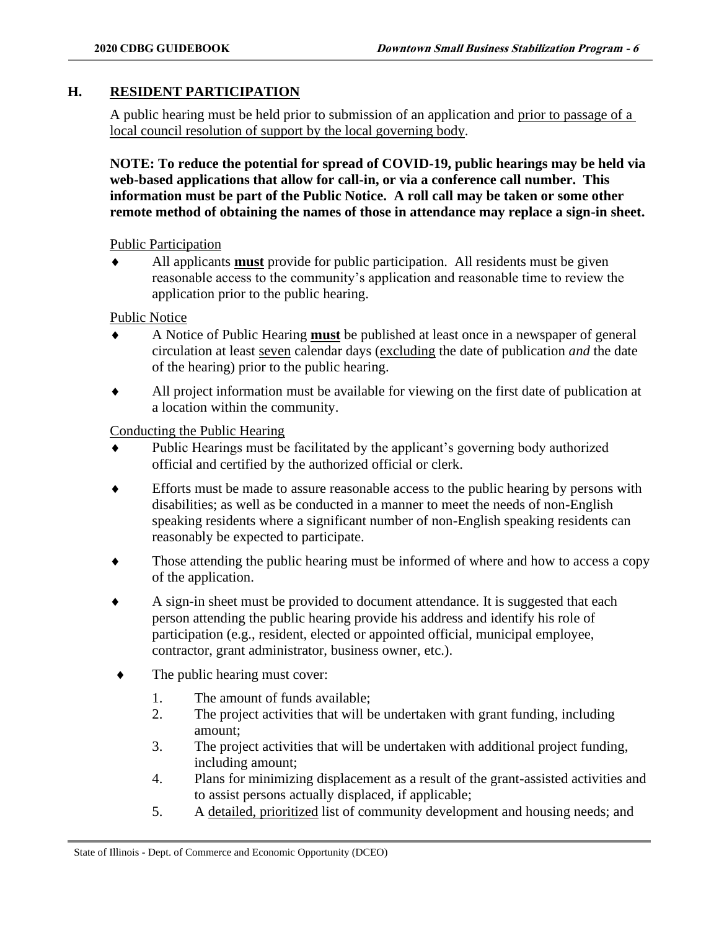### **H. RESIDENT PARTICIPATION**

A public hearing must be held prior to submission of an application and prior to passage of a local council resolution of support by the local governing body.

**NOTE: To reduce the potential for spread of COVID-19, public hearings may be held via web-based applications that allow for call-in, or via a conference call number. This information must be part of the Public Notice. A roll call may be taken or some other remote method of obtaining the names of those in attendance may replace a sign-in sheet.** 

Public Participation

 All applicants **must** provide for public participation. All residents must be given reasonable access to the community's application and reasonable time to review the application prior to the public hearing.

Public Notice

- A Notice of Public Hearing **must** be published at least once in a newspaper of general circulation at least seven calendar days (excluding the date of publication *and* the date of the hearing) prior to the public hearing.
- All project information must be available for viewing on the first date of publication at a location within the community.

Conducting the Public Hearing

- Public Hearings must be facilitated by the applicant's governing body authorized official and certified by the authorized official or clerk.
- Efforts must be made to assure reasonable access to the public hearing by persons with disabilities; as well as be conducted in a manner to meet the needs of non-English speaking residents where a significant number of non-English speaking residents can reasonably be expected to participate.
- Those attending the public hearing must be informed of where and how to access a copy of the application.
- A sign-in sheet must be provided to document attendance. It is suggested that each person attending the public hearing provide his address and identify his role of participation (e.g., resident, elected or appointed official, municipal employee, contractor, grant administrator, business owner, etc.).
- The public hearing must cover:
	- 1. The amount of funds available;
	- 2. The project activities that will be undertaken with grant funding, including amount;
	- 3. The project activities that will be undertaken with additional project funding, including amount;
	- 4. Plans for minimizing displacement as a result of the grant-assisted activities and to assist persons actually displaced, if applicable;
	- 5. A detailed, prioritized list of community development and housing needs; and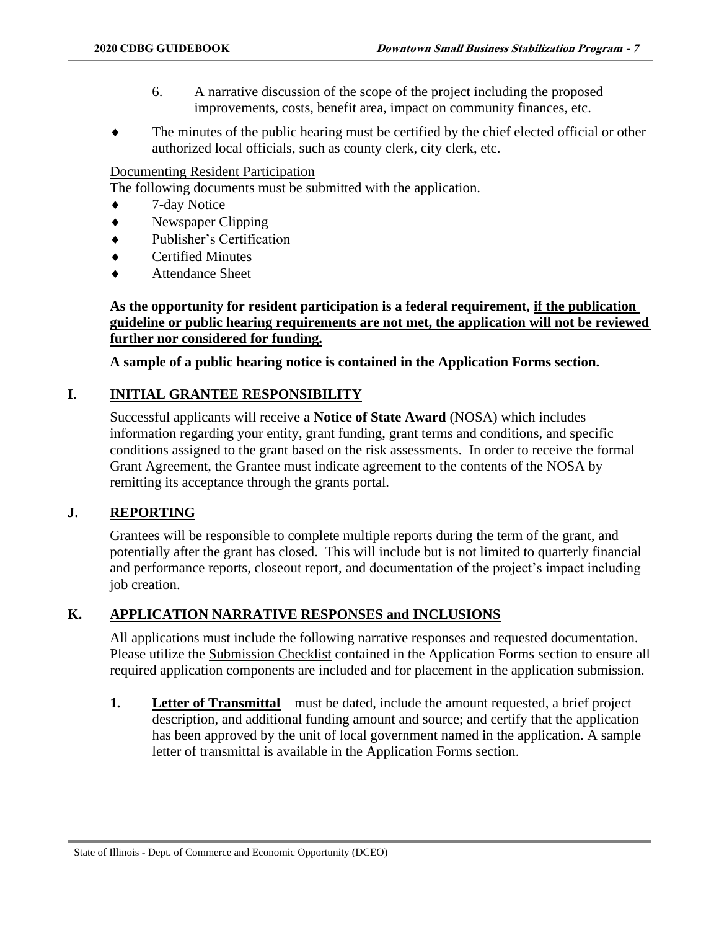- 6. A narrative discussion of the scope of the project including the proposed improvements, costs, benefit area, impact on community finances, etc.
- The minutes of the public hearing must be certified by the chief elected official or other authorized local officials, such as county clerk, city clerk, etc.

### Documenting Resident Participation

The following documents must be submitted with the application.

- ◆ 7-day Notice
- Newspaper Clipping
- Publisher's Certification
- Certified Minutes
- Attendance Sheet

### **As the opportunity for resident participation is a federal requirement, if the publication guideline or public hearing requirements are not met, the application will not be reviewed further nor considered for funding.**

**A sample of a public hearing notice is contained in the Application Forms section.**

### **I**. **INITIAL GRANTEE RESPONSIBILITY**

Successful applicants will receive a **Notice of State Award** (NOSA) which includes information regarding your entity, grant funding, grant terms and conditions, and specific conditions assigned to the grant based on the risk assessments. In order to receive the formal Grant Agreement, the Grantee must indicate agreement to the contents of the NOSA by remitting its acceptance through the grants portal.

### **J. REPORTING**

Grantees will be responsible to complete multiple reports during the term of the grant, and potentially after the grant has closed. This will include but is not limited to quarterly financial and performance reports, closeout report, and documentation of the project's impact including job creation.

### **K. APPLICATION NARRATIVE RESPONSES and INCLUSIONS**

All applications must include the following narrative responses and requested documentation. Please utilize the Submission Checklist contained in the Application Forms section to ensure all required application components are included and for placement in the application submission.

**1. Letter of Transmittal** – must be dated, include the amount requested, a brief project description, and additional funding amount and source; and certify that the application has been approved by the unit of local government named in the application. A sample letter of transmittal is available in the Application Forms section.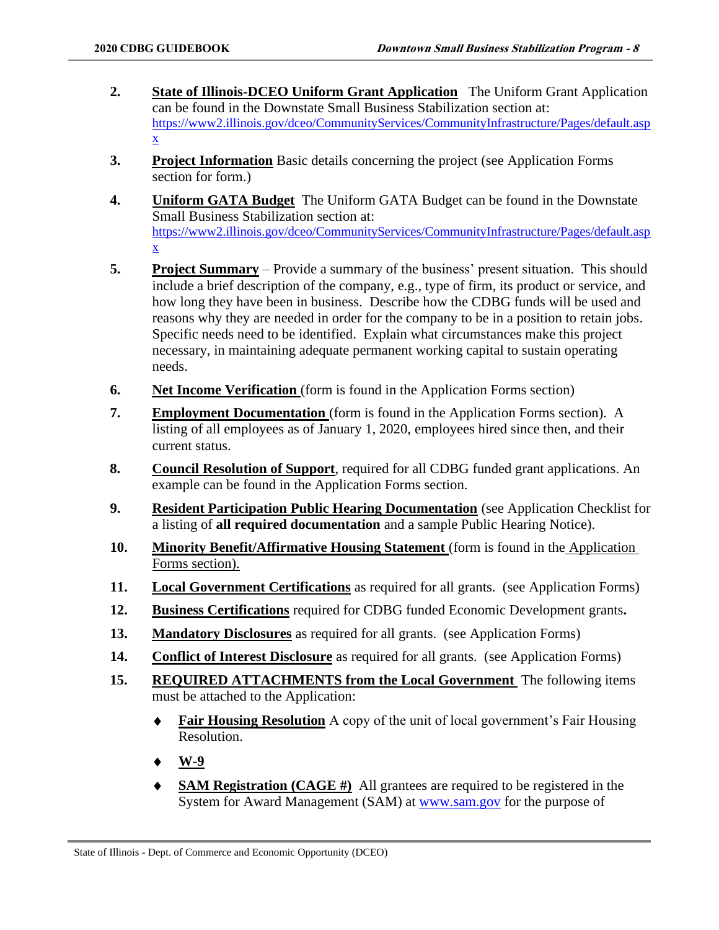- **2. State of Illinois-DCEO Uniform Grant Application** The Uniform Grant Application can be found in the Downstate Small Business Stabilization section at: [https://www2.illinois.gov/dceo/CommunityServices/CommunityInfrastructure/Pages/default.asp](https://www2.illinois.gov/dceo/CommunityServices/CommunityInfrastructure/Pages/default.aspx) [x](https://www2.illinois.gov/dceo/CommunityServices/CommunityInfrastructure/Pages/default.aspx)
- **3. Project Information** Basic details concerning the project (see Application Forms section for form.)
- **4. Uniform GATA Budget** The Uniform GATA Budget can be found in the Downstate Small Business Stabilization section at: [https://www2.illinois.gov/dceo/CommunityServices/CommunityInfrastructure/Pages/default.asp](https://www2.illinois.gov/dceo/CommunityServices/CommunityInfrastructure/Pages/default.aspx) [x](https://www2.illinois.gov/dceo/CommunityServices/CommunityInfrastructure/Pages/default.aspx)
- **5. Project Summary** Provide a summary of the business' present situation. This should include a brief description of the company, e.g., type of firm, its product or service, and how long they have been in business. Describe how the CDBG funds will be used and reasons why they are needed in order for the company to be in a position to retain jobs. Specific needs need to be identified. Explain what circumstances make this project necessary, in maintaining adequate permanent working capital to sustain operating needs.
- **6. Net Income Verification** (form is found in the Application Forms section)
- **7. Employment Documentation** (form is found in the Application Forms section). A listing of all employees as of January 1, 2020, employees hired since then, and their current status.
- **8. Council Resolution of Support**, required for all CDBG funded grant applications. An example can be found in the Application Forms section.
- **9. Resident Participation Public Hearing Documentation** (see Application Checklist for a listing of **all required documentation** and a sample Public Hearing Notice).
- **10. Minority Benefit/Affirmative Housing Statement** (form is found in the Application Forms section).
- **11. Local Government Certifications** as required for all grants. (see Application Forms)
- **12. Business Certifications** required for CDBG funded Economic Development grants**.**
- **13. Mandatory Disclosures** as required for all grants. (see Application Forms)
- **14. Conflict of Interest Disclosure** as required for all grants. (see Application Forms)
- **15. REQUIRED ATTACHMENTS from the Local Government** The following items must be attached to the Application:
	- **Fair Housing Resolution** A copy of the unit of local government's Fair Housing Resolution.
	- **W-9**
	- **SAM Registration (CAGE #)** All grantees are required to be registered in the System for Award Management (SAM) at [www.sam.gov](http://www.sam.gov/) for the purpose of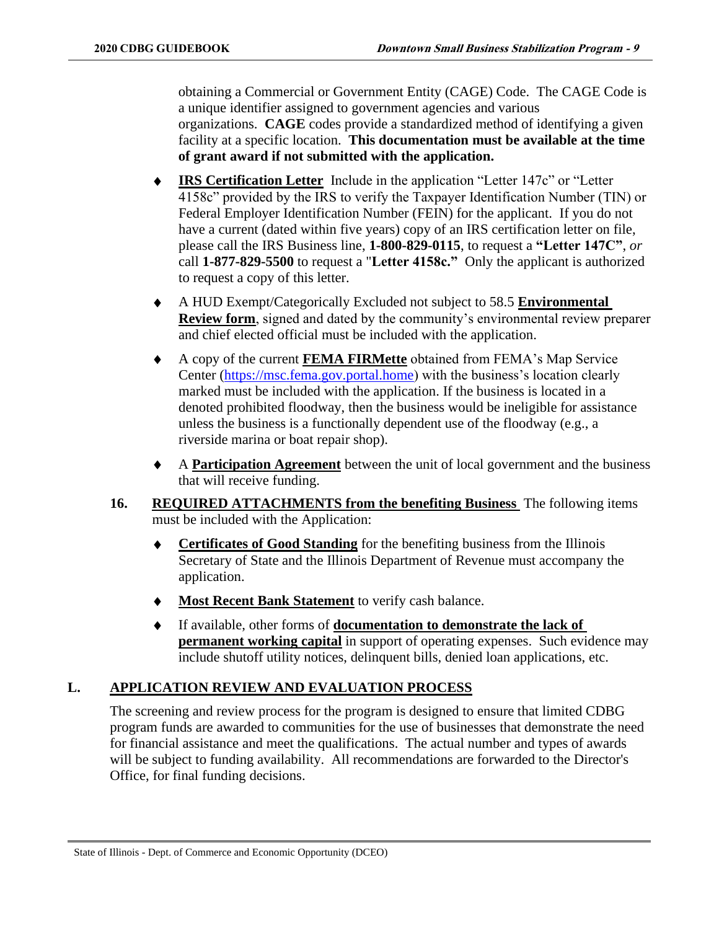obtaining a Commercial or Government Entity (CAGE) Code. The CAGE Code is a unique identifier assigned to government agencies and various organizations. **CAGE** codes provide a standardized method of identifying a given facility at a specific location. **This documentation must be available at the time of grant award if not submitted with the application.**

- **IRS Certification Letter** Include in the application "Letter 147c" or "Letter 4158c" provided by the IRS to verify the Taxpayer Identification Number (TIN) or Federal Employer Identification Number (FEIN) for the applicant. If you do not have a current (dated within five years) copy of an IRS certification letter on file, please call the IRS Business line, **1-800-829-0115**, to request a **"Letter 147C"**, *or*  call **1-877-829-5500** to request a "**Letter 4158c."** Only the applicant is authorized to request a copy of this letter.
- A HUD Exempt/Categorically Excluded not subject to 58.5 **Environmental Review form**, signed and dated by the community's environmental review preparer and chief elected official must be included with the application.
- A copy of the current **FEMA FIRMette** obtained from FEMA's Map Service Center [\(https://msc.fema.gov.portal.home\)](https://msc.fema.gov.portal.home/) with the business's location clearly marked must be included with the application. If the business is located in a denoted prohibited floodway, then the business would be ineligible for assistance unless the business is a functionally dependent use of the floodway (e.g., a riverside marina or boat repair shop).
- A **Participation Agreement** between the unit of local government and the business that will receive funding.
- **16. REQUIRED ATTACHMENTS from the benefiting Business** The following items must be included with the Application:
	- **Certificates of Good Standing** for the benefiting business from the Illinois Secretary of State and the Illinois Department of Revenue must accompany the application.
	- **Most Recent Bank Statement** to verify cash balance.
	- If available, other forms of **documentation to demonstrate the lack of permanent working capital** in support of operating expenses. Such evidence may include shutoff utility notices, delinquent bills, denied loan applications, etc.

### **L. APPLICATION REVIEW AND EVALUATION PROCESS**

The screening and review process for the program is designed to ensure that limited CDBG program funds are awarded to communities for the use of businesses that demonstrate the need for financial assistance and meet the qualifications. The actual number and types of awards will be subject to funding availability. All recommendations are forwarded to the Director's Office, for final funding decisions.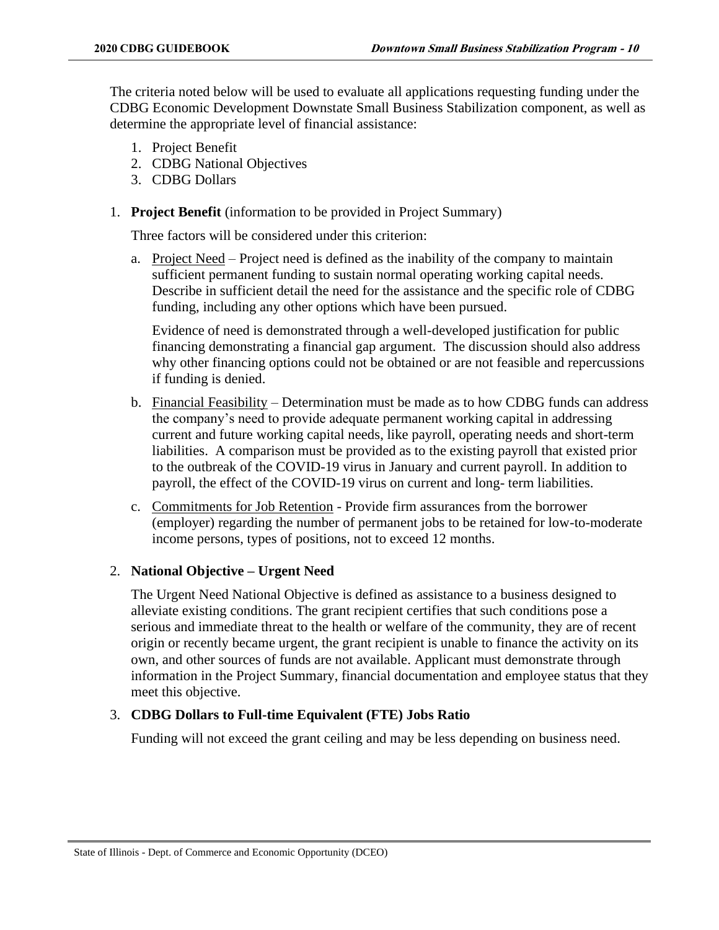The criteria noted below will be used to evaluate all applications requesting funding under the CDBG Economic Development Downstate Small Business Stabilization component, as well as determine the appropriate level of financial assistance:

- 1. Project Benefit
- 2. CDBG National Objectives
- 3. CDBG Dollars
- 1. **Project Benefit** (information to be provided in Project Summary)

Three factors will be considered under this criterion:

a. Project Need – Project need is defined as the inability of the company to maintain sufficient permanent funding to sustain normal operating working capital needs. Describe in sufficient detail the need for the assistance and the specific role of CDBG funding, including any other options which have been pursued.

Evidence of need is demonstrated through a well-developed justification for public financing demonstrating a financial gap argument. The discussion should also address why other financing options could not be obtained or are not feasible and repercussions if funding is denied.

- b. Financial Feasibility Determination must be made as to how CDBG funds can address the company's need to provide adequate permanent working capital in addressing current and future working capital needs, like payroll, operating needs and short-term liabilities. A comparison must be provided as to the existing payroll that existed prior to the outbreak of the COVID-19 virus in January and current payroll. In addition to payroll, the effect of the COVID-19 virus on current and long- term liabilities.
- c. Commitments for Job Retention Provide firm assurances from the borrower (employer) regarding the number of permanent jobs to be retained for low-to-moderate income persons, types of positions, not to exceed 12 months.

### 2. **National Objective – Urgent Need**

The Urgent Need National Objective is defined as assistance to a business designed to alleviate existing conditions. The grant recipient certifies that such conditions pose a serious and immediate threat to the health or welfare of the community, they are of recent origin or recently became urgent, the grant recipient is unable to finance the activity on its own, and other sources of funds are not available. Applicant must demonstrate through information in the Project Summary, financial documentation and employee status that they meet this objective.

### 3. **CDBG Dollars to Full-time Equivalent (FTE) Jobs Ratio**

Funding will not exceed the grant ceiling and may be less depending on business need.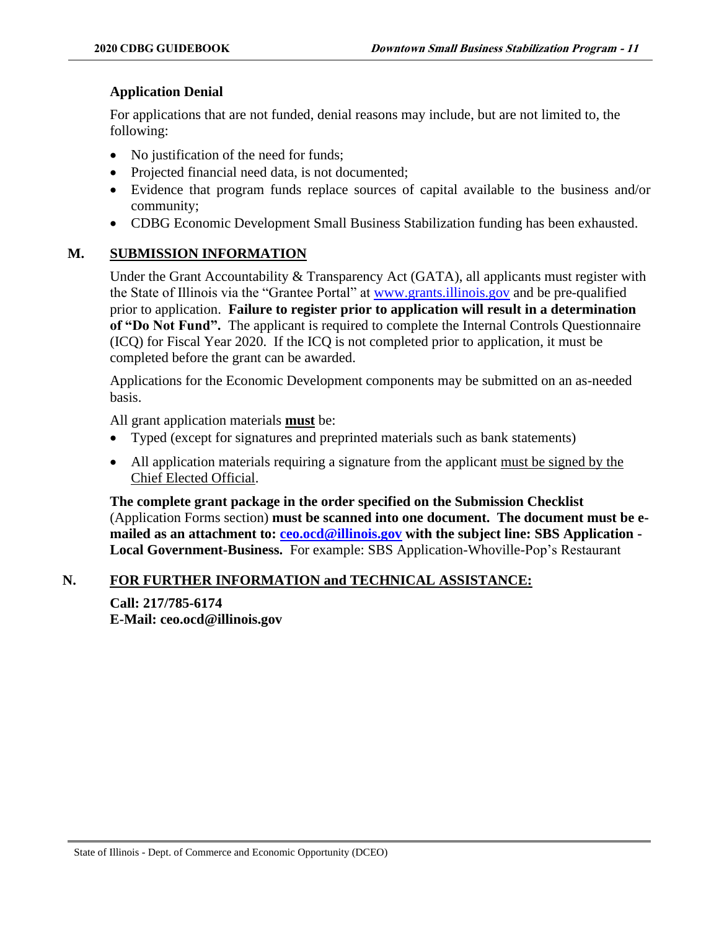### **Application Denial**

For applications that are not funded, denial reasons may include, but are not limited to, the following:

- No justification of the need for funds;
- Projected financial need data, is not documented;
- Evidence that program funds replace sources of capital available to the business and/or community;
- CDBG Economic Development Small Business Stabilization funding has been exhausted.

### **M. SUBMISSION INFORMATION**

Under the Grant Accountability & Transparency Act (GATA), all applicants must register with the State of Illinois via the "Grantee Portal" at [www.grants.illinois.gov](http://www.grants.illinois.gov/) and be pre-qualified prior to application. **Failure to register prior to application will result in a determination of "Do Not Fund".** The applicant is required to complete the Internal Controls Questionnaire (ICQ) for Fiscal Year 2020. If the ICQ is not completed prior to application, it must be completed before the grant can be awarded.

Applications for the Economic Development components may be submitted on an as-needed basis.

All grant application materials **must** be:

- Typed (except for signatures and preprinted materials such as bank statements)
- All application materials requiring a signature from the applicant must be signed by the Chief Elected Official.

**The complete grant package in the order specified on the Submission Checklist**  (Application Forms section) **must be scanned into one document. The document must be emailed as an attachment to: [ceo.ocd@illinois.gov](mailto:ceo.ocd@illinois.gov) with the subject line: SBS Application - Local Government-Business.** For example: SBS Application-Whoville-Pop's Restaurant

### **N. FOR FURTHER INFORMATION and TECHNICAL ASSISTANCE:**

**Call: 217/785-6174 E-Mail: ceo.ocd@illinois.gov**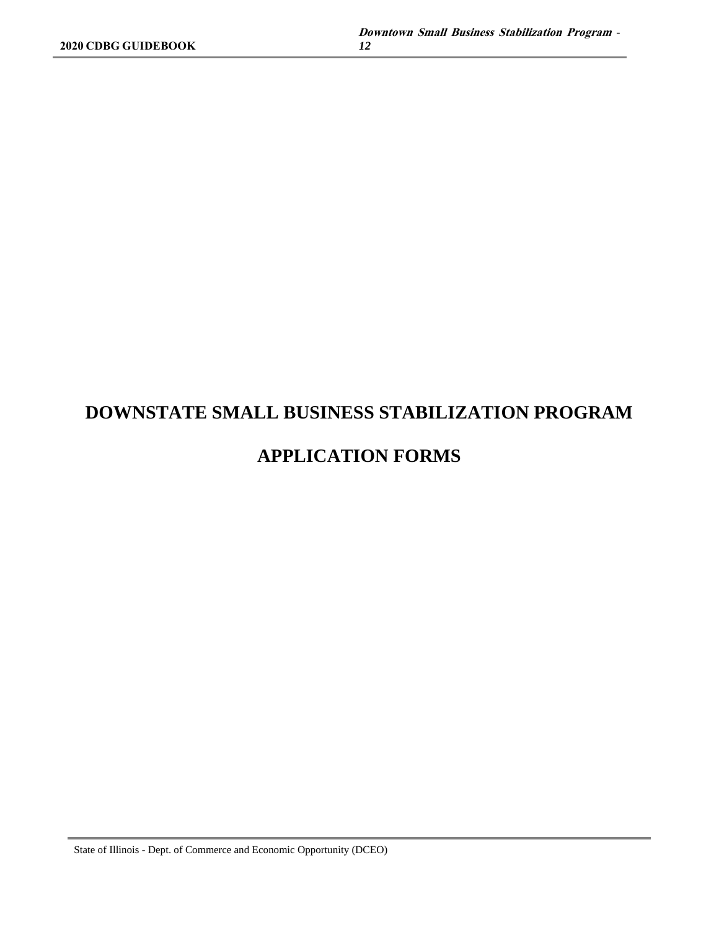### **DOWNSTATE SMALL BUSINESS STABILIZATION PROGRAM**

### **APPLICATION FORMS**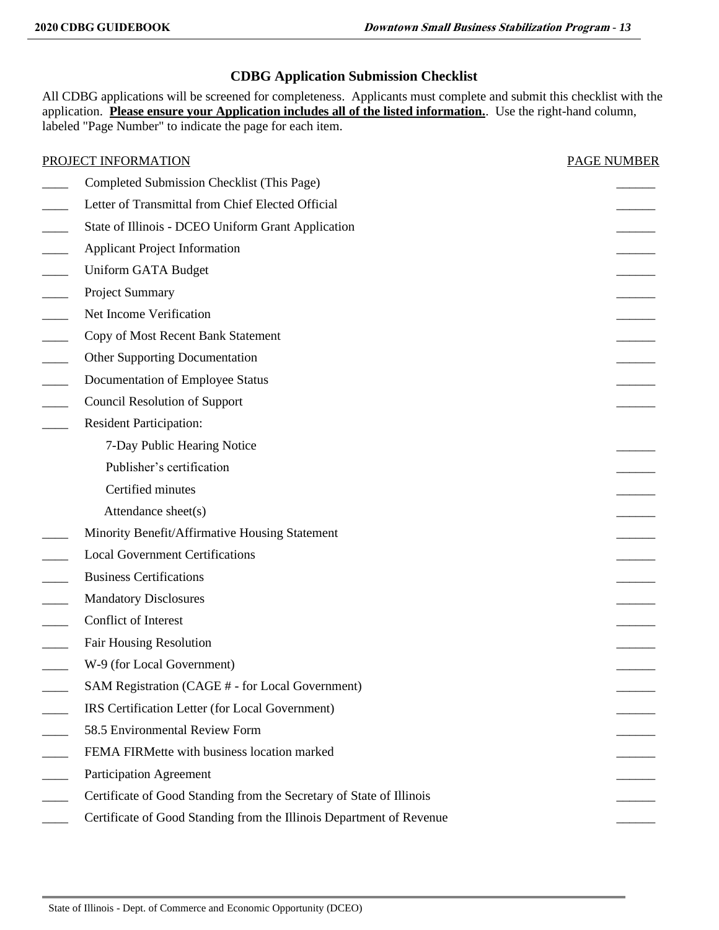### **CDBG Application Submission Checklist**

All CDBG applications will be screened for completeness. Applicants must complete and submit this checklist with the application. **Please ensure your Application includes all of the listed information.**. Use the right-hand column, labeled "Page Number" to indicate the page for each item.

| PROJECT INFORMATION                                                  | <b>PAGE NUMBER</b> |
|----------------------------------------------------------------------|--------------------|
| Completed Submission Checklist (This Page)                           |                    |
| Letter of Transmittal from Chief Elected Official                    |                    |
| State of Illinois - DCEO Uniform Grant Application                   |                    |
| <b>Applicant Project Information</b>                                 |                    |
| Uniform GATA Budget                                                  |                    |
| Project Summary                                                      |                    |
| Net Income Verification                                              |                    |
| Copy of Most Recent Bank Statement                                   |                    |
| <b>Other Supporting Documentation</b>                                |                    |
| Documentation of Employee Status                                     |                    |
| <b>Council Resolution of Support</b>                                 |                    |
| <b>Resident Participation:</b>                                       |                    |
| 7-Day Public Hearing Notice                                          |                    |
| Publisher's certification                                            |                    |
| Certified minutes                                                    |                    |
| Attendance sheet(s)                                                  |                    |
| Minority Benefit/Affirmative Housing Statement                       |                    |
| <b>Local Government Certifications</b>                               |                    |
| <b>Business Certifications</b>                                       |                    |
| <b>Mandatory Disclosures</b>                                         |                    |
| Conflict of Interest                                                 |                    |
| <b>Fair Housing Resolution</b>                                       |                    |
| W-9 (for Local Government)                                           |                    |
| SAM Registration (CAGE # - for Local Government)                     |                    |
| IRS Certification Letter (for Local Government)                      |                    |
| 58.5 Environmental Review Form                                       |                    |
| FEMA FIRMette with business location marked                          |                    |
| <b>Participation Agreement</b>                                       |                    |
| Certificate of Good Standing from the Secretary of State of Illinois |                    |
| Certificate of Good Standing from the Illinois Department of Revenue |                    |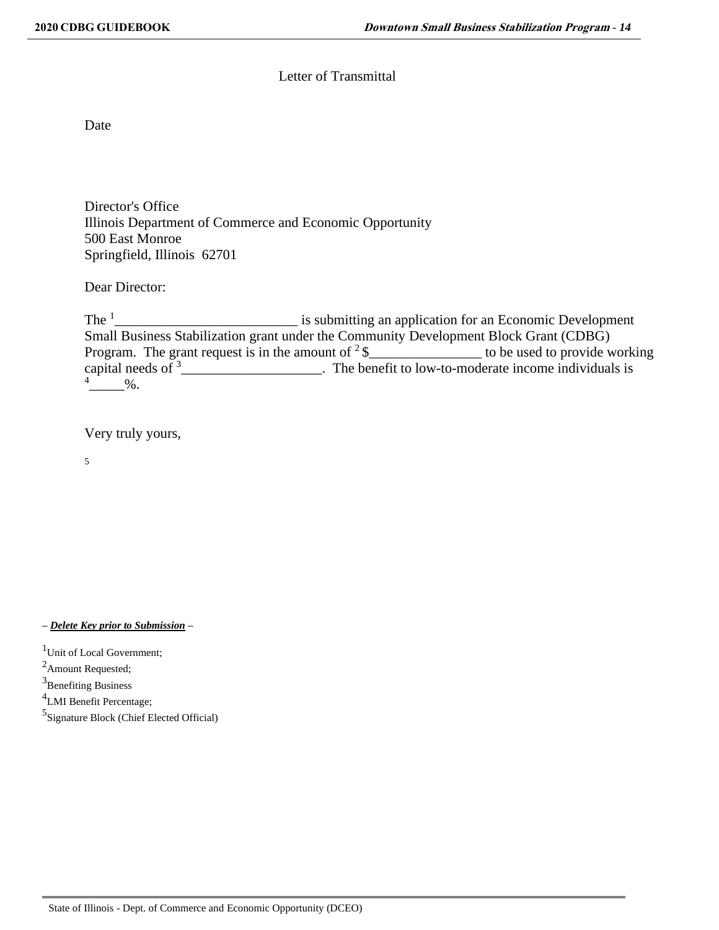### Letter of Transmittal

**Date** 

Director's Office Illinois Department of Commerce and Economic Opportunity 500 East Monroe Springfield, Illinois 62701

Dear Director:

The  $1$ \_\_\_\_\_\_\_\_\_\_\_\_\_\_\_\_\_\_\_\_\_\_\_\_\_\_ is submitting an application for an Economic Development Small Business Stabilization grant under the Community Development Block Grant (CDBG) Program. The grant request is in the amount of  $2\$ capital needs of  $\frac{3}{2}$  The benefit to low-to-moderate income individuals is  $\frac{4}{\sqrt{2}}$ %.

Very truly yours,

5

*– Delete Key prior to Submission –*

<sup>1</sup>Unit of Local Government;

 $^{2}$ Amount Requested;

<sup>3</sup>Benefiting Business

<sup>4</sup>LMI Benefit Percentage;

5 Signature Block (Chief Elected Official)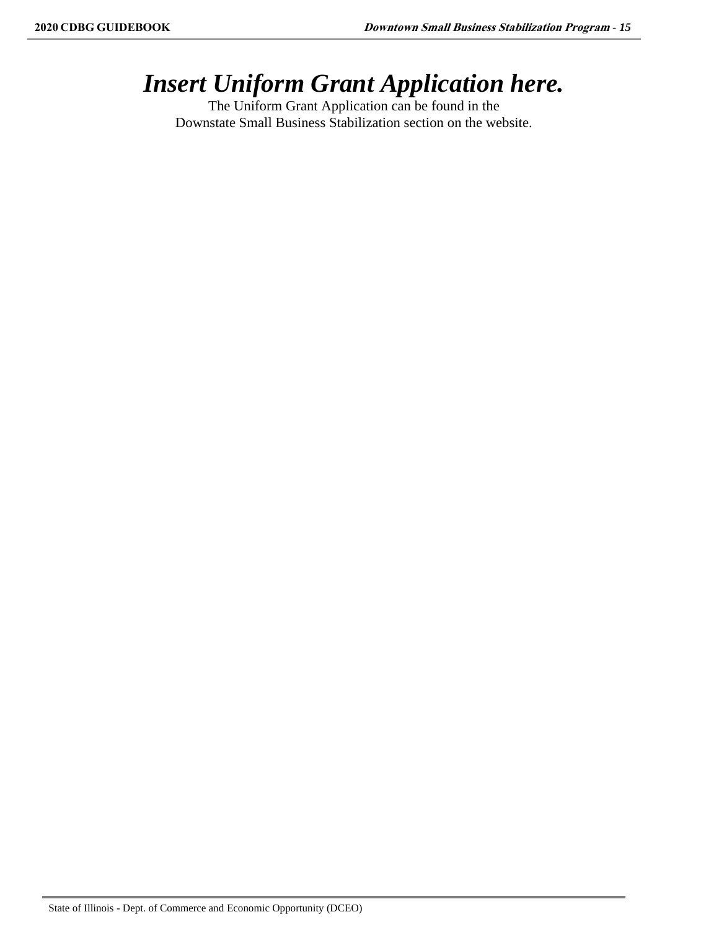### *Insert Uniform Grant Application here.*

The Uniform Grant Application can be found in the Downstate Small Business Stabilization section on the website.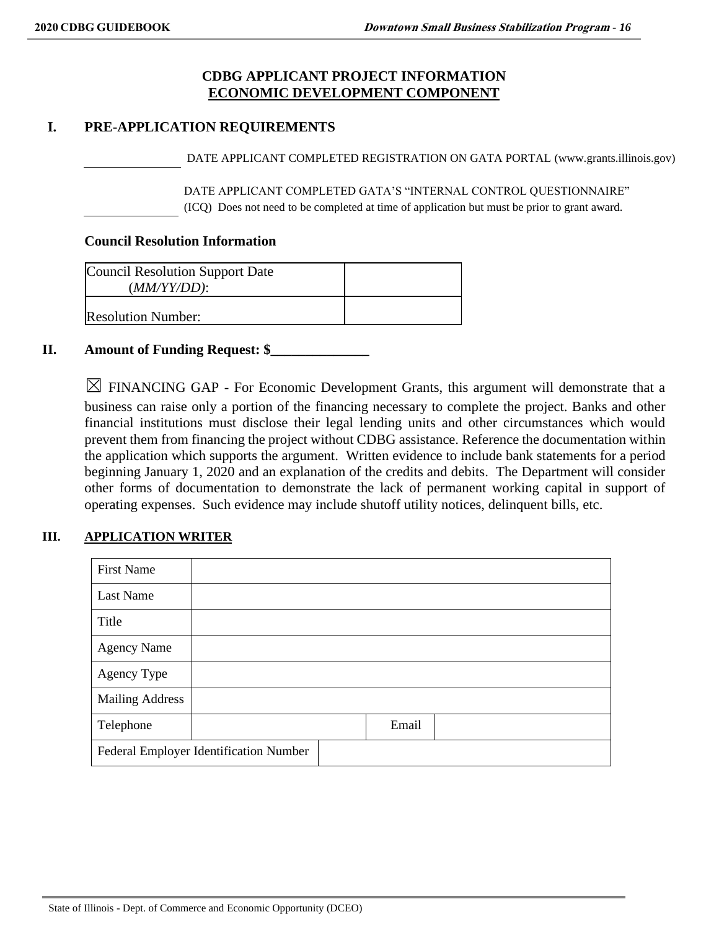### **CDBG APPLICANT PROJECT INFORMATION ECONOMIC DEVELOPMENT COMPONENT**

### **I. PRE-APPLICATION REQUIREMENTS**

DATE APPLICANT COMPLETED REGISTRATION ON GATA PORTAL (www.grants.illinois.gov)

DATE APPLICANT COMPLETED GATA'S "INTERNAL CONTROL QUESTIONNAIRE" (ICQ) Does not need to be completed at time of application but must be prior to grant award.

#### **Council Resolution Information**

| <b>Council Resolution Support Date</b><br>$(MM/YY/DD)$ : |  |
|----------------------------------------------------------|--|
| <b>Resolution Number:</b>                                |  |

### **II. Amount of Funding Request: \$\_\_\_\_\_\_\_\_\_\_\_\_\_\_**

 $\boxtimes$  FINANCING GAP - For Economic Development Grants, this argument will demonstrate that a business can raise only a portion of the financing necessary to complete the project. Banks and other financial institutions must disclose their legal lending units and other circumstances which would prevent them from financing the project without CDBG assistance. Reference the documentation within the application which supports the argument. Written evidence to include bank statements for a period beginning January 1, 2020 and an explanation of the credits and debits. The Department will consider other forms of documentation to demonstrate the lack of permanent working capital in support of operating expenses. Such evidence may include shutoff utility notices, delinquent bills, etc.

### **III. APPLICATION WRITER**

| <b>First Name</b>      |                                        |       |  |
|------------------------|----------------------------------------|-------|--|
| <b>Last Name</b>       |                                        |       |  |
| Title                  |                                        |       |  |
| <b>Agency Name</b>     |                                        |       |  |
| Agency Type            |                                        |       |  |
| <b>Mailing Address</b> |                                        |       |  |
| Telephone              |                                        | Email |  |
|                        | Federal Employer Identification Number |       |  |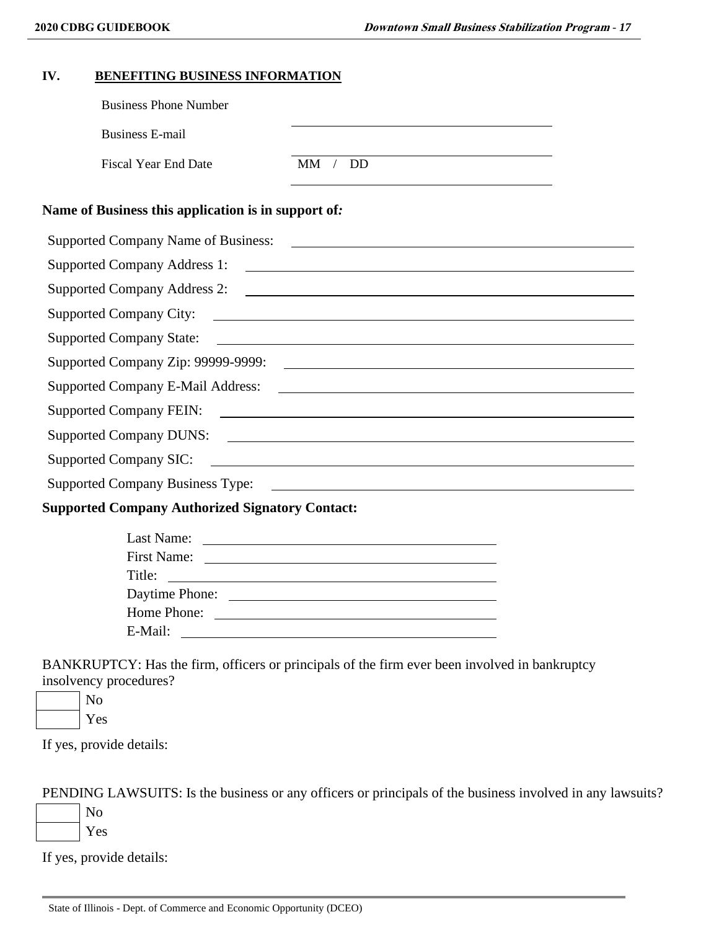| BENEFITING BUSINESS INFORMATION<br>IV.                 |                                                                                                                      |  |
|--------------------------------------------------------|----------------------------------------------------------------------------------------------------------------------|--|
| <b>Business Phone Number</b>                           |                                                                                                                      |  |
| <b>Business E-mail</b>                                 |                                                                                                                      |  |
| <b>Fiscal Year End Date</b>                            | MM / DD                                                                                                              |  |
| Name of Business this application is in support of:    |                                                                                                                      |  |
|                                                        | Supported Company Name of Business: 2008. [1] All the state of Business:                                             |  |
|                                                        |                                                                                                                      |  |
|                                                        |                                                                                                                      |  |
| Supported Company City:                                | <u> 1989 - Johann John Stein, markin fan it ferstjer fan de ferstjer fan it ferstjer fan de ferstjer fan de fers</u> |  |
| <b>Supported Company State:</b>                        | <u> Alexandria de la contrada de la contrada de la contrada de la contrada de la contrada de la contrada de la c</u> |  |
|                                                        | Supported Company Zip: 99999-9999:                                                                                   |  |
|                                                        |                                                                                                                      |  |
|                                                        |                                                                                                                      |  |
|                                                        | Supported Company DUNS:                                                                                              |  |
| <b>Supported Company SIC:</b>                          |                                                                                                                      |  |
|                                                        |                                                                                                                      |  |
| <b>Supported Company Authorized Signatory Contact:</b> |                                                                                                                      |  |
|                                                        |                                                                                                                      |  |
|                                                        |                                                                                                                      |  |
| Title:                                                 | <u> 1980 - Andrea Andrew Maria (h. 1980).</u>                                                                        |  |
|                                                        |                                                                                                                      |  |
|                                                        | Home Phone:                                                                                                          |  |
| E-Mail:                                                |                                                                                                                      |  |

BANKRUPTCY: Has the firm, officers or principals of the firm ever been involved in bankruptcy insolvency procedures?

No Yes

If yes, provide details:

PENDING LAWSUITS: Is the business or any officers or principals of the business involved in any lawsuits?

No Yes

If yes, provide details: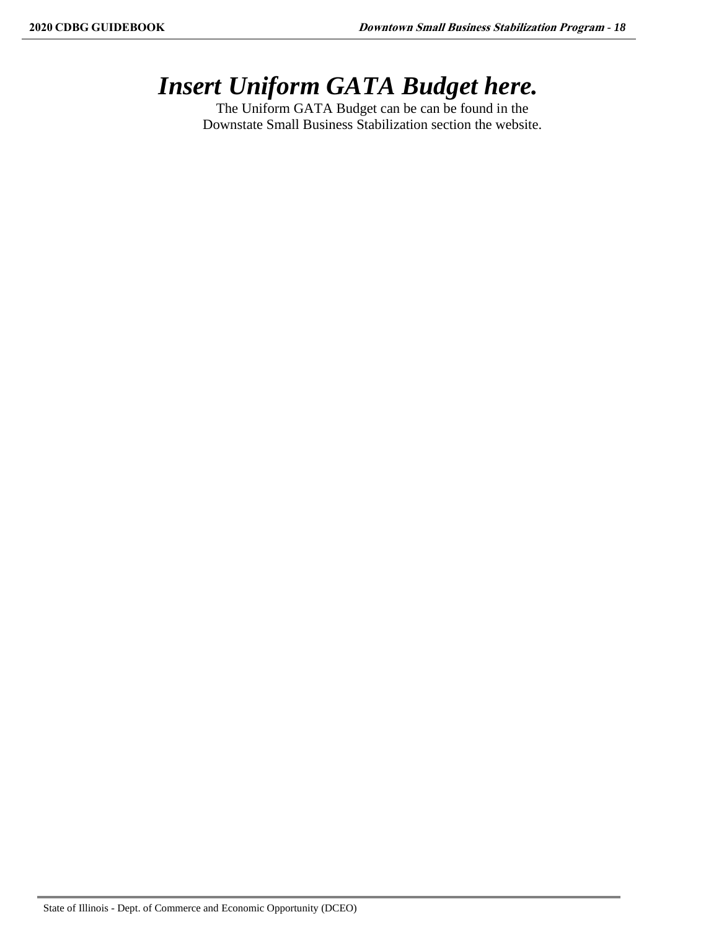# *Insert Uniform GATA Budget here.*

The Uniform GATA Budget can be can be found in the Downstate Small Business Stabilization section the website.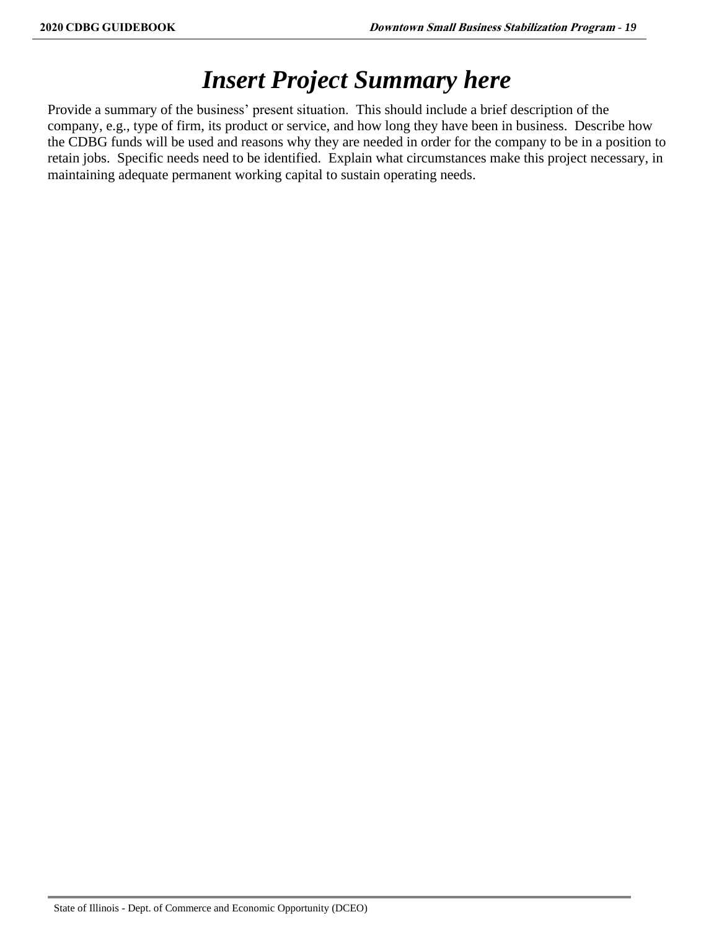### *Insert Project Summary here*

Provide a summary of the business' present situation. This should include a brief description of the company, e.g., type of firm, its product or service, and how long they have been in business. Describe how the CDBG funds will be used and reasons why they are needed in order for the company to be in a position to retain jobs. Specific needs need to be identified. Explain what circumstances make this project necessary, in maintaining adequate permanent working capital to sustain operating needs.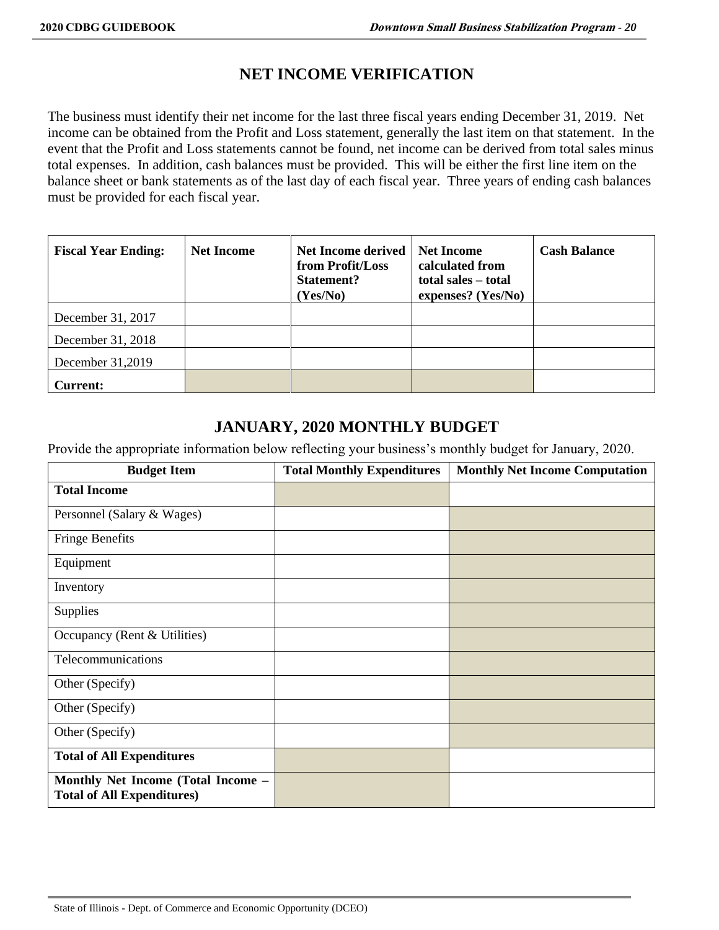### **NET INCOME VERIFICATION**

The business must identify their net income for the last three fiscal years ending December 31, 2019. Net income can be obtained from the Profit and Loss statement, generally the last item on that statement. In the event that the Profit and Loss statements cannot be found, net income can be derived from total sales minus total expenses. In addition, cash balances must be provided. This will be either the first line item on the balance sheet or bank statements as of the last day of each fiscal year. Three years of ending cash balances must be provided for each fiscal year.

| <b>Fiscal Year Ending:</b> | <b>Net Income</b> | <b>Net Income derived</b><br>from Profit/Loss<br><b>Statement?</b><br>(Yes/No) | <b>Net Income</b><br>calculated from<br>total sales - total<br>expenses? (Yes/No) | <b>Cash Balance</b> |
|----------------------------|-------------------|--------------------------------------------------------------------------------|-----------------------------------------------------------------------------------|---------------------|
| December 31, 2017          |                   |                                                                                |                                                                                   |                     |
| December 31, 2018          |                   |                                                                                |                                                                                   |                     |
| December 31,2019           |                   |                                                                                |                                                                                   |                     |
| <b>Current:</b>            |                   |                                                                                |                                                                                   |                     |

### **JANUARY, 2020 MONTHLY BUDGET**

Provide the appropriate information below reflecting your business's monthly budget for January, 2020.

| <b>Budget Item</b>                                                      | <b>Total Monthly Expenditures</b> | <b>Monthly Net Income Computation</b> |
|-------------------------------------------------------------------------|-----------------------------------|---------------------------------------|
| <b>Total Income</b>                                                     |                                   |                                       |
| Personnel (Salary & Wages)                                              |                                   |                                       |
| <b>Fringe Benefits</b>                                                  |                                   |                                       |
| Equipment                                                               |                                   |                                       |
| Inventory                                                               |                                   |                                       |
| <b>Supplies</b>                                                         |                                   |                                       |
| Occupancy (Rent & Utilities)                                            |                                   |                                       |
| Telecommunications                                                      |                                   |                                       |
| Other (Specify)                                                         |                                   |                                       |
| Other (Specify)                                                         |                                   |                                       |
| Other (Specify)                                                         |                                   |                                       |
| <b>Total of All Expenditures</b>                                        |                                   |                                       |
| Monthly Net Income (Total Income -<br><b>Total of All Expenditures)</b> |                                   |                                       |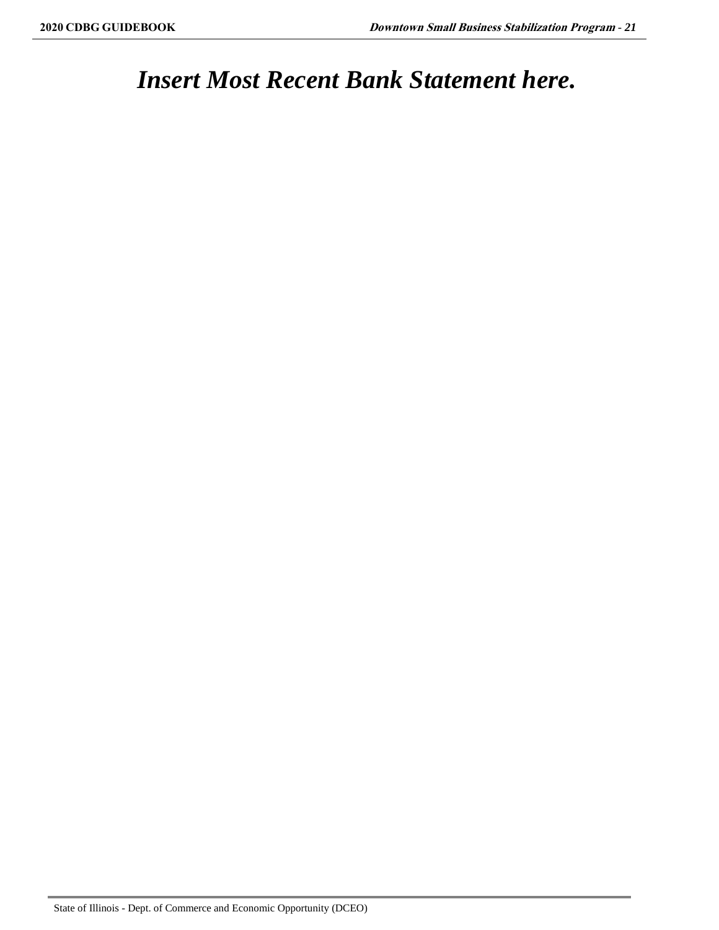### *Insert Most Recent Bank Statement here.*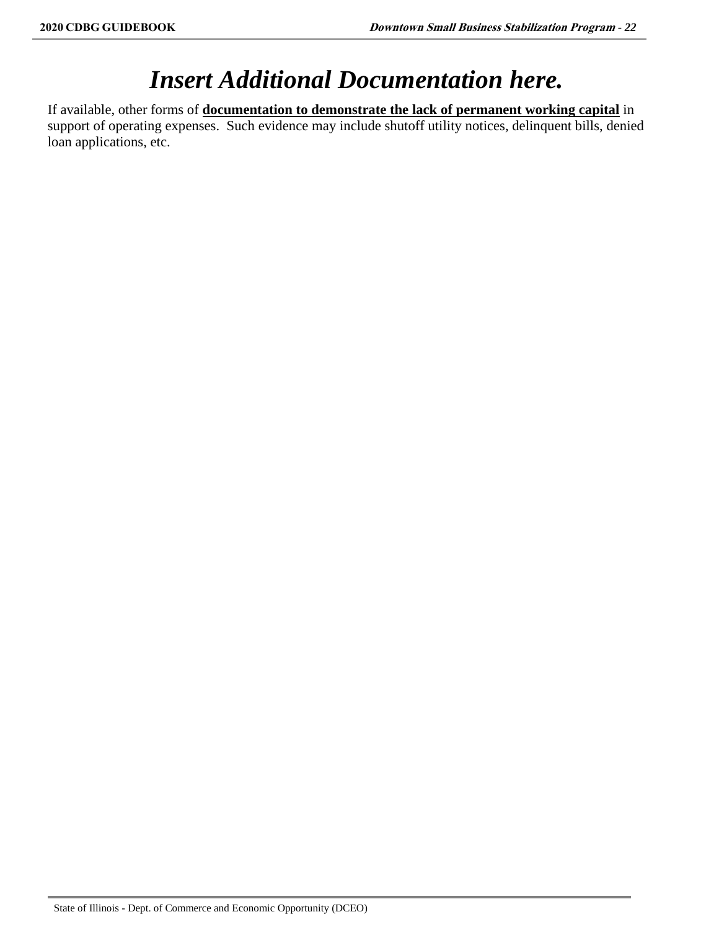# *Insert Additional Documentation here.*

If available, other forms of **documentation to demonstrate the lack of permanent working capital** in support of operating expenses. Such evidence may include shutoff utility notices, delinquent bills, denied loan applications, etc.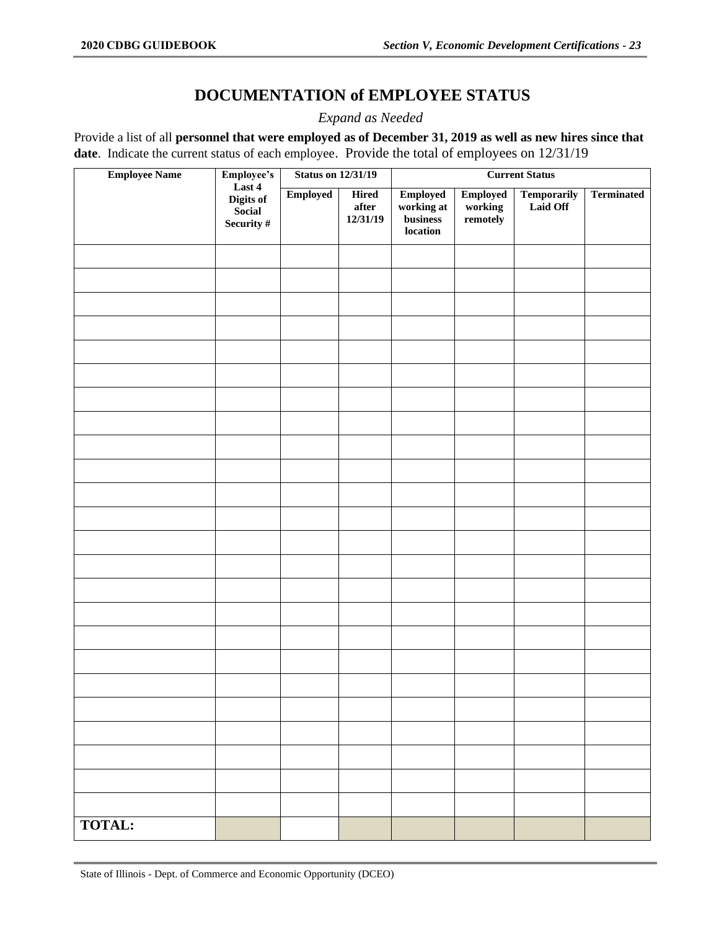### **DOCUMENTATION of EMPLOYEE STATUS**

*Expand as Needed*

Provide a list of all **personnel that were employed as of December 31, 2019 as well as new hires since that date**. Indicate the current status of each employee. Provide the total of employees on 12/31/19

| <b>Employee Name</b> | Employee's                                  | <b>Status on 12/31/19</b> |                                                             |                                                       |                                        |                                | <b>Current Status</b> |  |  |
|----------------------|---------------------------------------------|---------------------------|-------------------------------------------------------------|-------------------------------------------------------|----------------------------------------|--------------------------------|-----------------------|--|--|
|                      | Last 4<br>Digits of<br>Social<br>Security # | <b>Employed</b>           | <b>Hired</b><br>$\operatorname{\textbf{after}}$<br>12/31/19 | <b>Employed</b><br>working at<br>business<br>location | <b>Employed</b><br>working<br>remotely | <b>Temporarily</b><br>Laid Off | <b>Terminated</b>     |  |  |
|                      |                                             |                           |                                                             |                                                       |                                        |                                |                       |  |  |
|                      |                                             |                           |                                                             |                                                       |                                        |                                |                       |  |  |
|                      |                                             |                           |                                                             |                                                       |                                        |                                |                       |  |  |
|                      |                                             |                           |                                                             |                                                       |                                        |                                |                       |  |  |
|                      |                                             |                           |                                                             |                                                       |                                        |                                |                       |  |  |
|                      |                                             |                           |                                                             |                                                       |                                        |                                |                       |  |  |
|                      |                                             |                           |                                                             |                                                       |                                        |                                |                       |  |  |
|                      |                                             |                           |                                                             |                                                       |                                        |                                |                       |  |  |
|                      |                                             |                           |                                                             |                                                       |                                        |                                |                       |  |  |
|                      |                                             |                           |                                                             |                                                       |                                        |                                |                       |  |  |
|                      |                                             |                           |                                                             |                                                       |                                        |                                |                       |  |  |
|                      |                                             |                           |                                                             |                                                       |                                        |                                |                       |  |  |
|                      |                                             |                           |                                                             |                                                       |                                        |                                |                       |  |  |
|                      |                                             |                           |                                                             |                                                       |                                        |                                |                       |  |  |
|                      |                                             |                           |                                                             |                                                       |                                        |                                |                       |  |  |
|                      |                                             |                           |                                                             |                                                       |                                        |                                |                       |  |  |
|                      |                                             |                           |                                                             |                                                       |                                        |                                |                       |  |  |
|                      |                                             |                           |                                                             |                                                       |                                        |                                |                       |  |  |
|                      |                                             |                           |                                                             |                                                       |                                        |                                |                       |  |  |
|                      |                                             |                           |                                                             |                                                       |                                        |                                |                       |  |  |
|                      |                                             |                           |                                                             |                                                       |                                        |                                |                       |  |  |
|                      |                                             |                           |                                                             |                                                       |                                        |                                |                       |  |  |
|                      |                                             |                           |                                                             |                                                       |                                        |                                |                       |  |  |
| TOTAL:               |                                             |                           |                                                             |                                                       |                                        |                                |                       |  |  |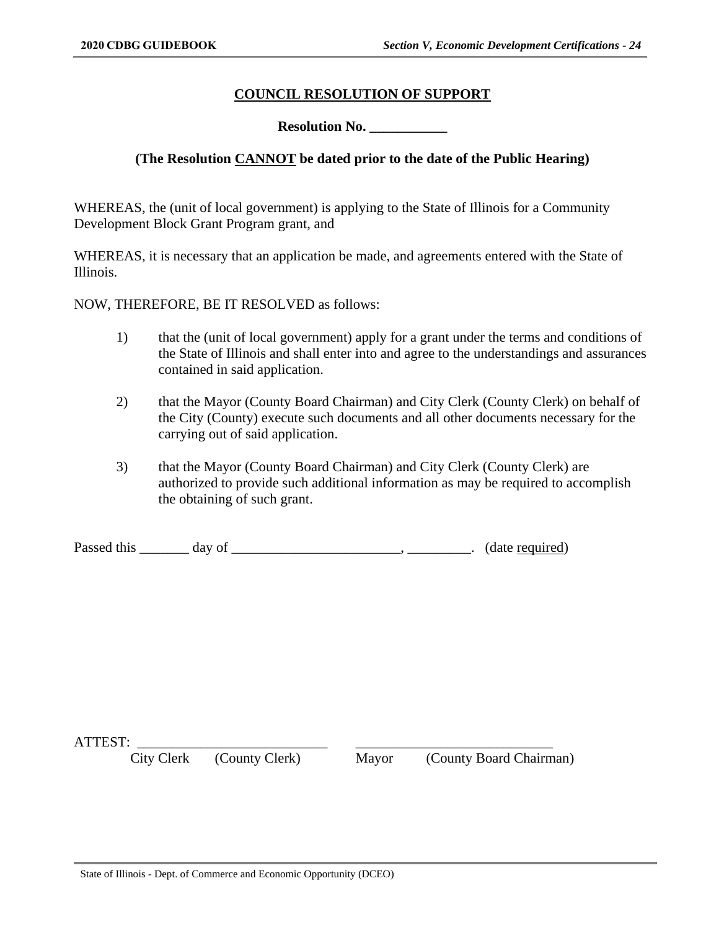### **COUNCIL RESOLUTION OF SUPPORT**

**Resolution No.** 

### **(The Resolution CANNOT be dated prior to the date of the Public Hearing)**

WHEREAS, the (unit of local government) is applying to the State of Illinois for a Community Development Block Grant Program grant, and

WHEREAS, it is necessary that an application be made, and agreements entered with the State of Illinois.

NOW, THEREFORE, BE IT RESOLVED as follows:

- 1) that the (unit of local government) apply for a grant under the terms and conditions of the State of Illinois and shall enter into and agree to the understandings and assurances contained in said application.
- 2) that the Mayor (County Board Chairman) and City Clerk (County Clerk) on behalf of the City (County) execute such documents and all other documents necessary for the carrying out of said application.
- 3) that the Mayor (County Board Chairman) and City Clerk (County Clerk) are authorized to provide such additional information as may be required to accomplish the obtaining of such grant.

| Passed this |  |  | (date required) |
|-------------|--|--|-----------------|
|-------------|--|--|-----------------|

ATTEST:

City Clerk (County Clerk) Mayor (County Board Chairman)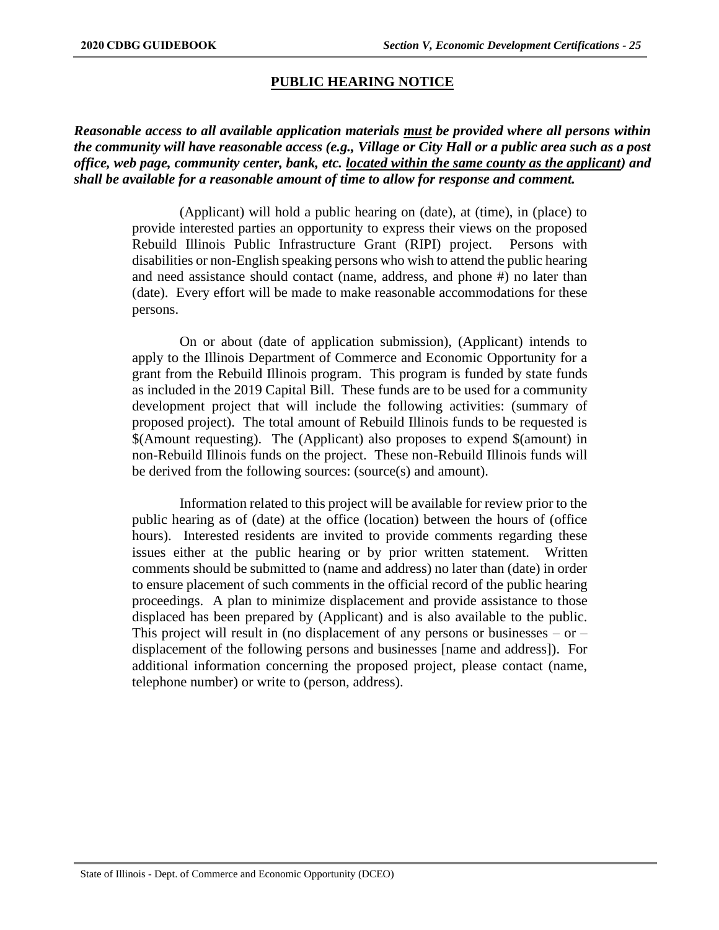### **PUBLIC HEARING NOTICE**

*Reasonable access to all available application materials must be provided where all persons within the community will have reasonable access (e.g., Village or City Hall or a public area such as a post office, web page, community center, bank, etc. located within the same county as the applicant) and shall be available for a reasonable amount of time to allow for response and comment.*

> (Applicant) will hold a public hearing on (date), at (time), in (place) to provide interested parties an opportunity to express their views on the proposed Rebuild Illinois Public Infrastructure Grant (RIPI) project. Persons with disabilities or non-English speaking persons who wish to attend the public hearing and need assistance should contact (name, address, and phone #) no later than (date). Every effort will be made to make reasonable accommodations for these persons.

> On or about (date of application submission), (Applicant) intends to apply to the Illinois Department of Commerce and Economic Opportunity for a grant from the Rebuild Illinois program. This program is funded by state funds as included in the 2019 Capital Bill. These funds are to be used for a community development project that will include the following activities: (summary of proposed project). The total amount of Rebuild Illinois funds to be requested is \$(Amount requesting). The (Applicant) also proposes to expend \$(amount) in non-Rebuild Illinois funds on the project. These non-Rebuild Illinois funds will be derived from the following sources: (source(s) and amount).

> Information related to this project will be available for review prior to the public hearing as of (date) at the office (location) between the hours of (office hours). Interested residents are invited to provide comments regarding these issues either at the public hearing or by prior written statement. Written comments should be submitted to (name and address) no later than (date) in order to ensure placement of such comments in the official record of the public hearing proceedings. A plan to minimize displacement and provide assistance to those displaced has been prepared by (Applicant) and is also available to the public. This project will result in (no displacement of any persons or businesses  $-$  or  $$ displacement of the following persons and businesses [name and address]). For additional information concerning the proposed project, please contact (name, telephone number) or write to (person, address).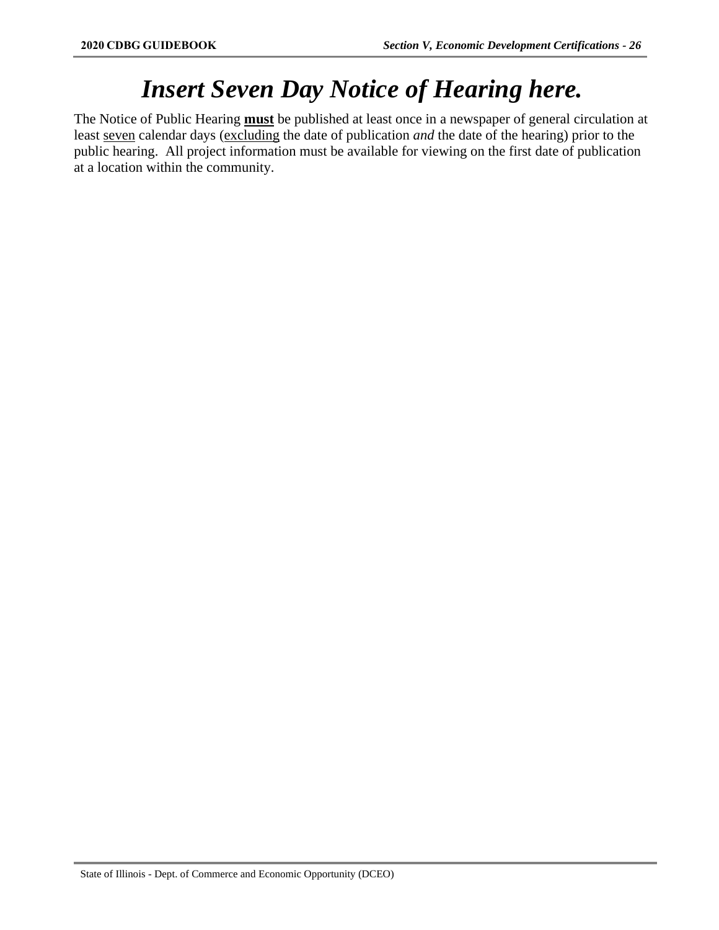# *Insert Seven Day Notice of Hearing here.*

The Notice of Public Hearing **must** be published at least once in a newspaper of general circulation at least seven calendar days (excluding the date of publication *and* the date of the hearing) prior to the public hearing. All project information must be available for viewing on the first date of publication at a location within the community.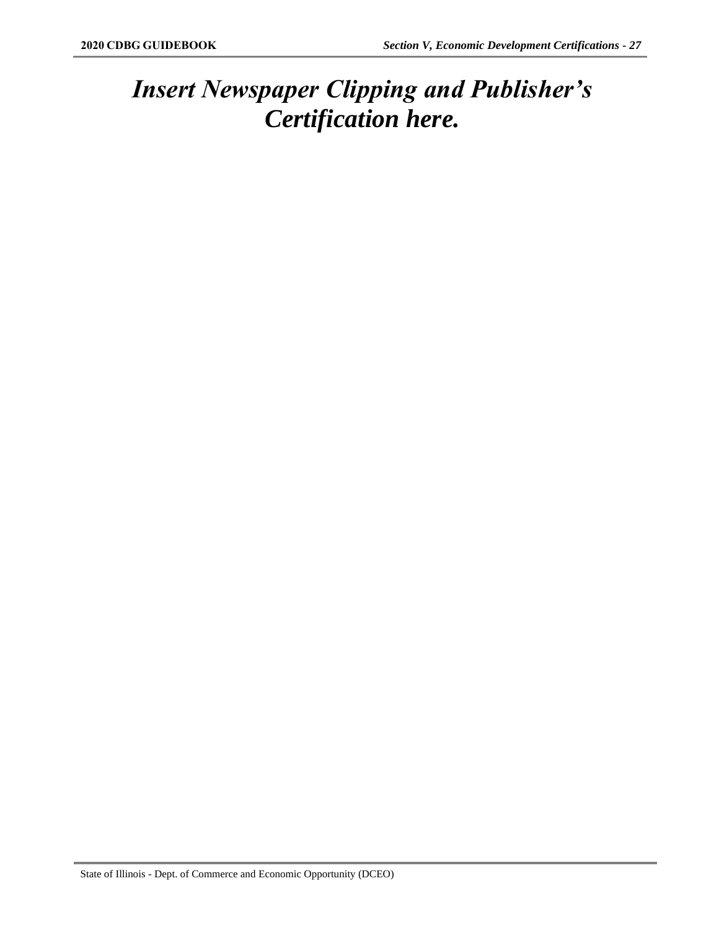## *Insert Newspaper Clipping and Publisher's Certification here.*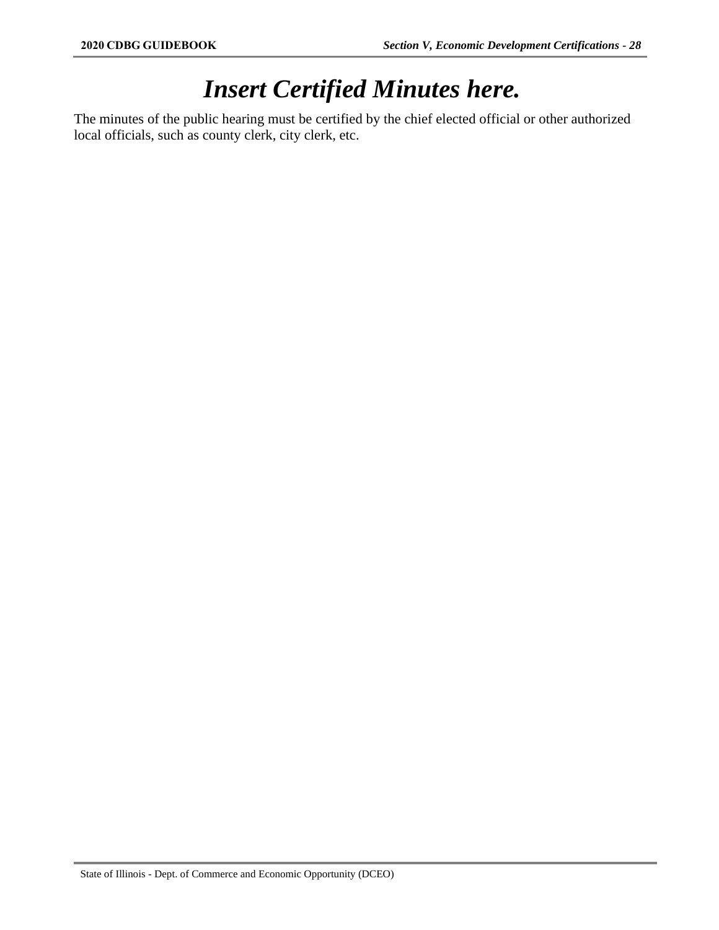# *Insert Certified Minutes here.*

The minutes of the public hearing must be certified by the chief elected official or other authorized local officials, such as county clerk, city clerk, etc.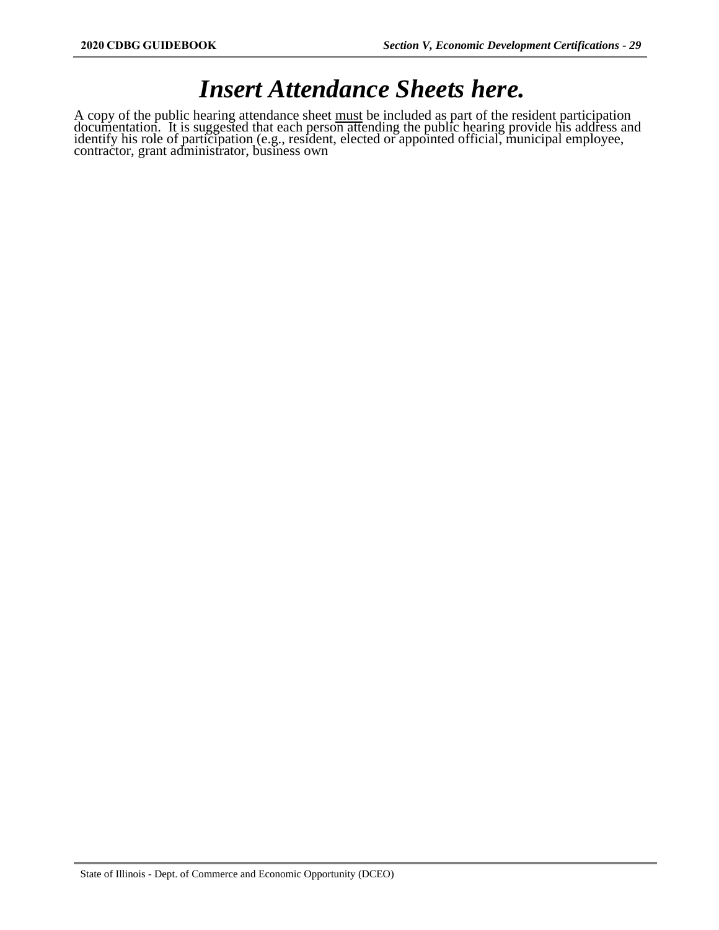### *Insert Attendance Sheets here.*

A copy of the public hearing attendance sheet must be included as part of the resident participation documentation. It is suggested that each person attending the public hearing provide his address and identify his role of participation (e.g., resident, elected or appointed official, municipal employee, contractor, grant administrator, business own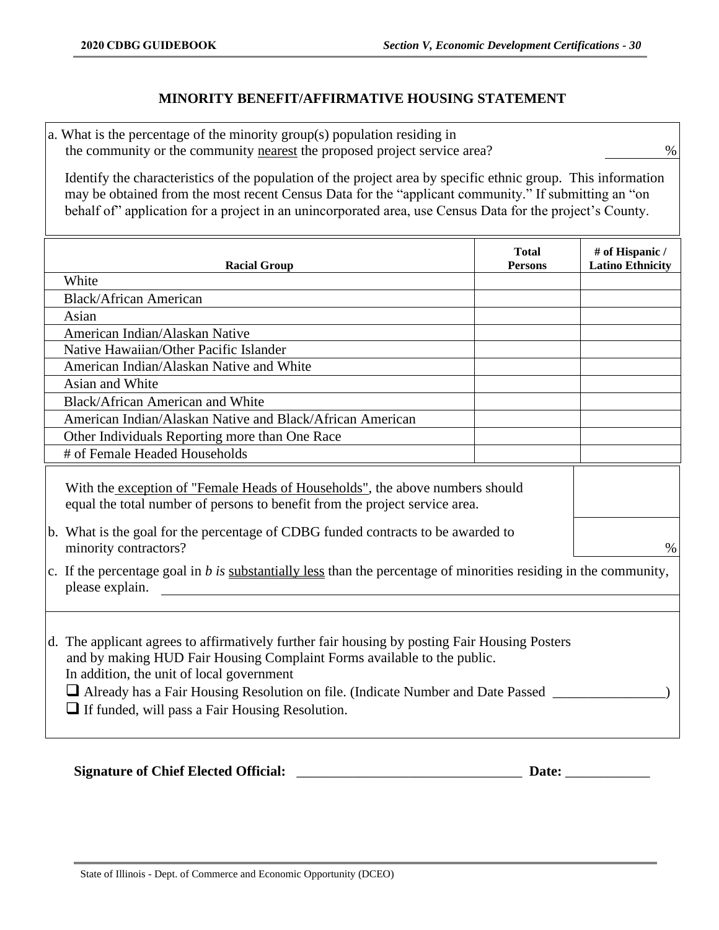### **MINORITY BENEFIT/AFFIRMATIVE HOUSING STATEMENT**

a. What is the percentage of the minority group(s) population residing in the community or the community nearest the proposed project service area?  $\%$ 

Identify the characteristics of the population of the project area by specific ethnic group. This information may be obtained from the most recent Census Data for the "applicant community." If submitting an "on behalf of" application for a project in an unincorporated area, use Census Data for the project's County.

| <b>Racial Group</b>                                                                                                                                                                                                                                                                                                                                                       | <b>Total</b><br><b>Persons</b> | # of Hispanic /<br><b>Latino Ethnicity</b> |
|---------------------------------------------------------------------------------------------------------------------------------------------------------------------------------------------------------------------------------------------------------------------------------------------------------------------------------------------------------------------------|--------------------------------|--------------------------------------------|
| White                                                                                                                                                                                                                                                                                                                                                                     |                                |                                            |
| <b>Black/African American</b>                                                                                                                                                                                                                                                                                                                                             |                                |                                            |
| Asian                                                                                                                                                                                                                                                                                                                                                                     |                                |                                            |
| American Indian/Alaskan Native                                                                                                                                                                                                                                                                                                                                            |                                |                                            |
| Native Hawaiian/Other Pacific Islander                                                                                                                                                                                                                                                                                                                                    |                                |                                            |
| American Indian/Alaskan Native and White                                                                                                                                                                                                                                                                                                                                  |                                |                                            |
| Asian and White                                                                                                                                                                                                                                                                                                                                                           |                                |                                            |
| Black/African American and White                                                                                                                                                                                                                                                                                                                                          |                                |                                            |
| American Indian/Alaskan Native and Black/African American                                                                                                                                                                                                                                                                                                                 |                                |                                            |
| Other Individuals Reporting more than One Race                                                                                                                                                                                                                                                                                                                            |                                |                                            |
| # of Female Headed Households                                                                                                                                                                                                                                                                                                                                             |                                |                                            |
| With the exception of "Female Heads of Households", the above numbers should<br>equal the total number of persons to benefit from the project service area.<br>b. What is the goal for the percentage of CDBG funded contracts to be awarded to<br>minority contractors?                                                                                                  |                                | $\%$                                       |
| c. If the percentage goal in $b$ is substantially less than the percentage of minorities residing in the community,<br>please explain.                                                                                                                                                                                                                                    |                                |                                            |
| d. The applicant agrees to affirmatively further fair housing by posting Fair Housing Posters<br>and by making HUD Fair Housing Complaint Forms available to the public.<br>In addition, the unit of local government<br>Already has a Fair Housing Resolution on file. (Indicate Number and Date Passed ______<br>$\Box$ If funded, will pass a Fair Housing Resolution. |                                |                                            |

### **Signature of Chief Elected Official:** \_\_\_\_\_\_\_\_\_\_\_\_\_\_\_\_\_\_\_\_\_\_\_\_\_\_\_\_\_\_\_\_ **Date:** \_\_\_\_\_\_\_\_\_\_\_\_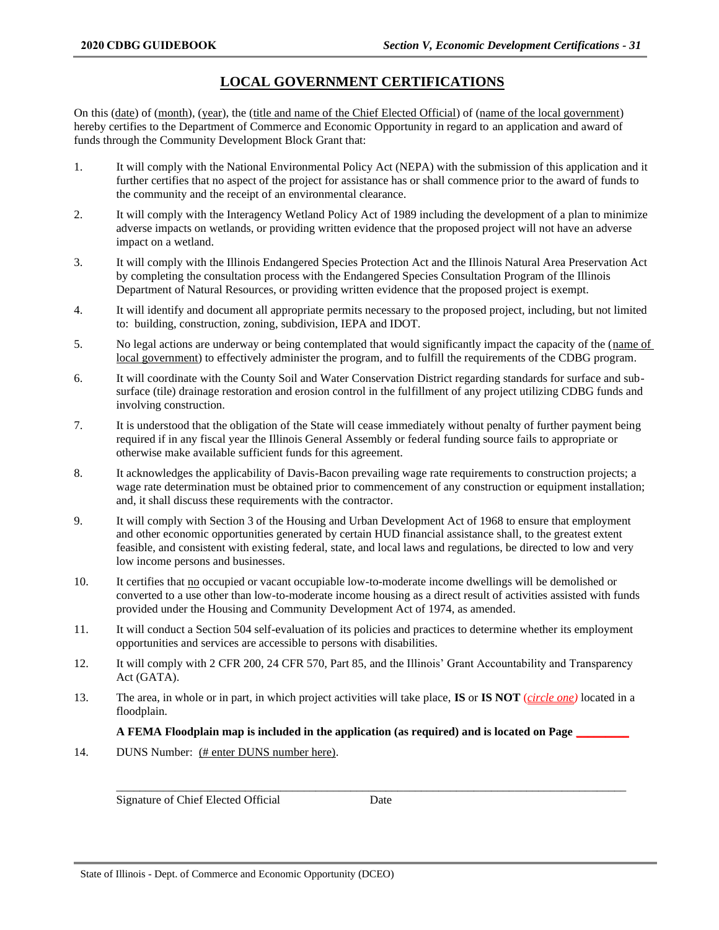### **LOCAL GOVERNMENT CERTIFICATIONS**

On this (date) of (month), (year), the (title and name of the Chief Elected Official) of (name of the local government) hereby certifies to the Department of Commerce and Economic Opportunity in regard to an application and award of funds through the Community Development Block Grant that:

- 1. It will comply with the National Environmental Policy Act (NEPA) with the submission of this application and it further certifies that no aspect of the project for assistance has or shall commence prior to the award of funds to the community and the receipt of an environmental clearance.
- 2. It will comply with the Interagency Wetland Policy Act of 1989 including the development of a plan to minimize adverse impacts on wetlands, or providing written evidence that the proposed project will not have an adverse impact on a wetland.
- 3. It will comply with the Illinois Endangered Species Protection Act and the Illinois Natural Area Preservation Act by completing the consultation process with the Endangered Species Consultation Program of the Illinois Department of Natural Resources, or providing written evidence that the proposed project is exempt.
- 4. It will identify and document all appropriate permits necessary to the proposed project, including, but not limited to: building, construction, zoning, subdivision, IEPA and IDOT.
- 5. No legal actions are underway or being contemplated that would significantly impact the capacity of the (name of local government) to effectively administer the program, and to fulfill the requirements of the CDBG program.
- 6. It will coordinate with the County Soil and Water Conservation District regarding standards for surface and subsurface (tile) drainage restoration and erosion control in the fulfillment of any project utilizing CDBG funds and involving construction.
- 7. It is understood that the obligation of the State will cease immediately without penalty of further payment being required if in any fiscal year the Illinois General Assembly or federal funding source fails to appropriate or otherwise make available sufficient funds for this agreement.
- 8. It acknowledges the applicability of Davis-Bacon prevailing wage rate requirements to construction projects; a wage rate determination must be obtained prior to commencement of any construction or equipment installation; and, it shall discuss these requirements with the contractor.
- 9. It will comply with Section 3 of the Housing and Urban Development Act of 1968 to ensure that employment and other economic opportunities generated by certain HUD financial assistance shall, to the greatest extent feasible, and consistent with existing federal, state, and local laws and regulations, be directed to low and very low income persons and businesses.
- 10. It certifies that no occupied or vacant occupiable low-to-moderate income dwellings will be demolished or converted to a use other than low-to-moderate income housing as a direct result of activities assisted with funds provided under the Housing and Community Development Act of 1974, as amended.
- 11. It will conduct a Section 504 self-evaluation of its policies and practices to determine whether its employment opportunities and services are accessible to persons with disabilities.
- 12. It will comply with 2 CFR 200, 24 CFR 570, Part 85, and the Illinois' Grant Accountability and Transparency Act (GATA).
- 13. The area, in whole or in part, in which project activities will take place, **IS** or **IS NOT** (*circle one)* located in a floodplain.

#### **A FEMA Floodplain map is included in the application (as required) and is located on Page \_\_\_\_\_\_\_\_\_**

14. DUNS Number: (# enter DUNS number here).

Signature of Chief Elected Official Date

\_\_\_\_\_\_\_\_\_\_\_\_\_\_\_\_\_\_\_\_\_\_\_\_\_\_\_\_\_\_\_\_\_\_\_\_\_\_\_\_\_\_\_\_\_\_\_\_\_\_\_\_\_\_\_\_\_\_\_\_\_\_\_\_\_\_\_\_\_\_\_\_\_\_\_\_\_\_\_\_\_\_\_\_\_\_\_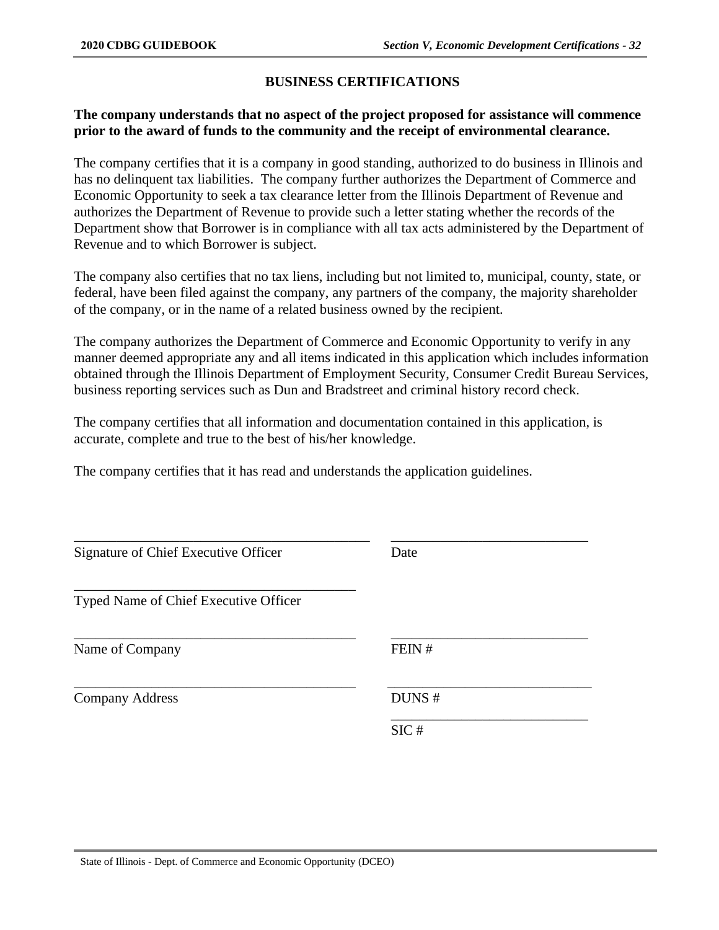### **BUSINESS CERTIFICATIONS**

### **The company understands that no aspect of the project proposed for assistance will commence prior to the award of funds to the community and the receipt of environmental clearance.**

The company certifies that it is a company in good standing, authorized to do business in Illinois and has no delinquent tax liabilities. The company further authorizes the Department of Commerce and Economic Opportunity to seek a tax clearance letter from the Illinois Department of Revenue and authorizes the Department of Revenue to provide such a letter stating whether the records of the Department show that Borrower is in compliance with all tax acts administered by the Department of Revenue and to which Borrower is subject.

The company also certifies that no tax liens, including but not limited to, municipal, county, state, or federal, have been filed against the company, any partners of the company, the majority shareholder of the company, or in the name of a related business owned by the recipient.

The company authorizes the Department of Commerce and Economic Opportunity to verify in any manner deemed appropriate any and all items indicated in this application which includes information obtained through the Illinois Department of Employment Security, Consumer Credit Bureau Services, business reporting services such as Dun and Bradstreet and criminal history record check.

The company certifies that all information and documentation contained in this application, is accurate, complete and true to the best of his/her knowledge.

The company certifies that it has read and understands the application guidelines.

| Signature of Chief Executive Officer  | Date  |  |
|---------------------------------------|-------|--|
| Typed Name of Chief Executive Officer |       |  |
| Name of Company                       | FEIN# |  |
| <b>Company Address</b>                | DUNS# |  |
|                                       | SIC#  |  |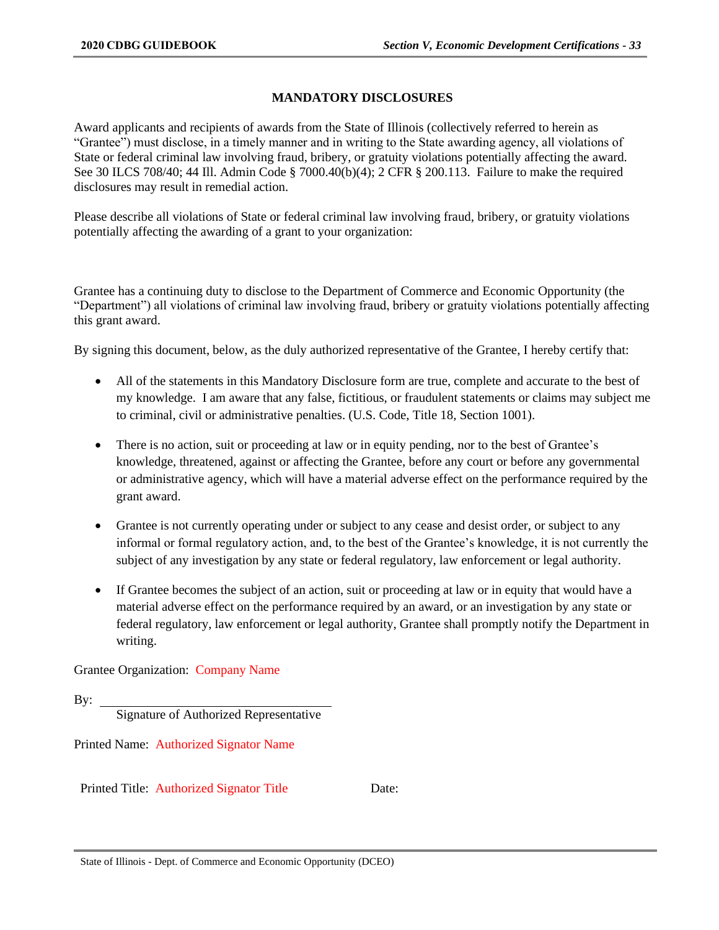### **MANDATORY DISCLOSURES**

Award applicants and recipients of awards from the State of Illinois (collectively referred to herein as "Grantee") must disclose, in a timely manner and in writing to the State awarding agency, all violations of State or federal criminal law involving fraud, bribery, or gratuity violations potentially affecting the award. See 30 ILCS 708/40; 44 Ill. Admin Code § 7000.40(b)(4); 2 CFR § 200.113. Failure to make the required disclosures may result in remedial action.

Please describe all violations of State or federal criminal law involving fraud, bribery, or gratuity violations potentially affecting the awarding of a grant to your organization:

Grantee has a continuing duty to disclose to the Department of Commerce and Economic Opportunity (the "Department") all violations of criminal law involving fraud, bribery or gratuity violations potentially affecting this grant award.

By signing this document, below, as the duly authorized representative of the Grantee, I hereby certify that:

- All of the statements in this Mandatory Disclosure form are true, complete and accurate to the best of my knowledge. I am aware that any false, fictitious, or fraudulent statements or claims may subject me to criminal, civil or administrative penalties. (U.S. Code, Title 18, Section 1001).
- There is no action, suit or proceeding at law or in equity pending, nor to the best of Grantee's knowledge, threatened, against or affecting the Grantee, before any court or before any governmental or administrative agency, which will have a material adverse effect on the performance required by the grant award.
- Grantee is not currently operating under or subject to any cease and desist order, or subject to any informal or formal regulatory action, and, to the best of the Grantee's knowledge, it is not currently the subject of any investigation by any state or federal regulatory, law enforcement or legal authority.
- If Grantee becomes the subject of an action, suit or proceeding at law or in equity that would have a material adverse effect on the performance required by an award, or an investigation by any state or federal regulatory, law enforcement or legal authority, Grantee shall promptly notify the Department in writing.

Grantee Organization: Company Name

```
By: \overline{\phantom{0}}
```
Signature of Authorized Representative

Printed Name: Authorized Signator Name

Printed Title: Authorized Signator Title Date: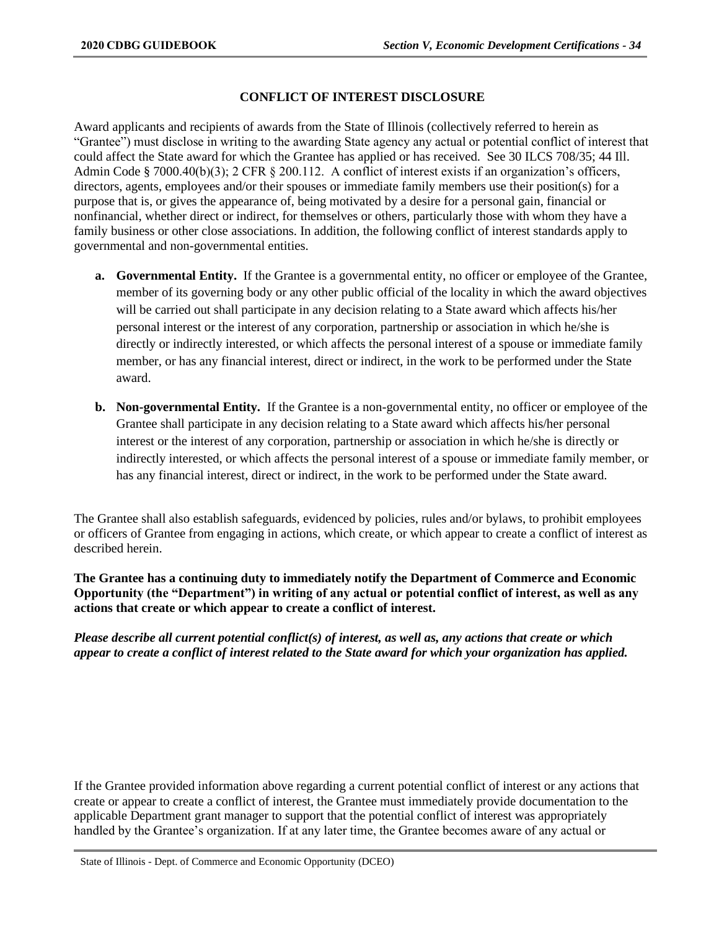#### **CONFLICT OF INTEREST DISCLOSURE**

Award applicants and recipients of awards from the State of Illinois (collectively referred to herein as "Grantee") must disclose in writing to the awarding State agency any actual or potential conflict of interest that could affect the State award for which the Grantee has applied or has received. See 30 ILCS 708/35; 44 Ill. Admin Code § 7000.40(b)(3); 2 CFR § 200.112. A conflict of interest exists if an organization's officers, directors, agents, employees and/or their spouses or immediate family members use their position(s) for a purpose that is, or gives the appearance of, being motivated by a desire for a personal gain, financial or nonfinancial, whether direct or indirect, for themselves or others, particularly those with whom they have a family business or other close associations. In addition, the following conflict of interest standards apply to governmental and non-governmental entities.

- **a. Governmental Entity.** If the Grantee is a governmental entity, no officer or employee of the Grantee, member of its governing body or any other public official of the locality in which the award objectives will be carried out shall participate in any decision relating to a State award which affects his/her personal interest or the interest of any corporation, partnership or association in which he/she is directly or indirectly interested, or which affects the personal interest of a spouse or immediate family member, or has any financial interest, direct or indirect, in the work to be performed under the State award.
- **b. Non-governmental Entity.** If the Grantee is a non-governmental entity, no officer or employee of the Grantee shall participate in any decision relating to a State award which affects his/her personal interest or the interest of any corporation, partnership or association in which he/she is directly or indirectly interested, or which affects the personal interest of a spouse or immediate family member, or has any financial interest, direct or indirect, in the work to be performed under the State award.

The Grantee shall also establish safeguards, evidenced by policies, rules and/or bylaws, to prohibit employees or officers of Grantee from engaging in actions, which create, or which appear to create a conflict of interest as described herein.

**The Grantee has a continuing duty to immediately notify the Department of Commerce and Economic Opportunity (the "Department") in writing of any actual or potential conflict of interest, as well as any actions that create or which appear to create a conflict of interest.**

*Please describe all current potential conflict(s) of interest, as well as, any actions that create or which appear to create a conflict of interest related to the State award for which your organization has applied.*

If the Grantee provided information above regarding a current potential conflict of interest or any actions that create or appear to create a conflict of interest, the Grantee must immediately provide documentation to the applicable Department grant manager to support that the potential conflict of interest was appropriately handled by the Grantee's organization. If at any later time, the Grantee becomes aware of any actual or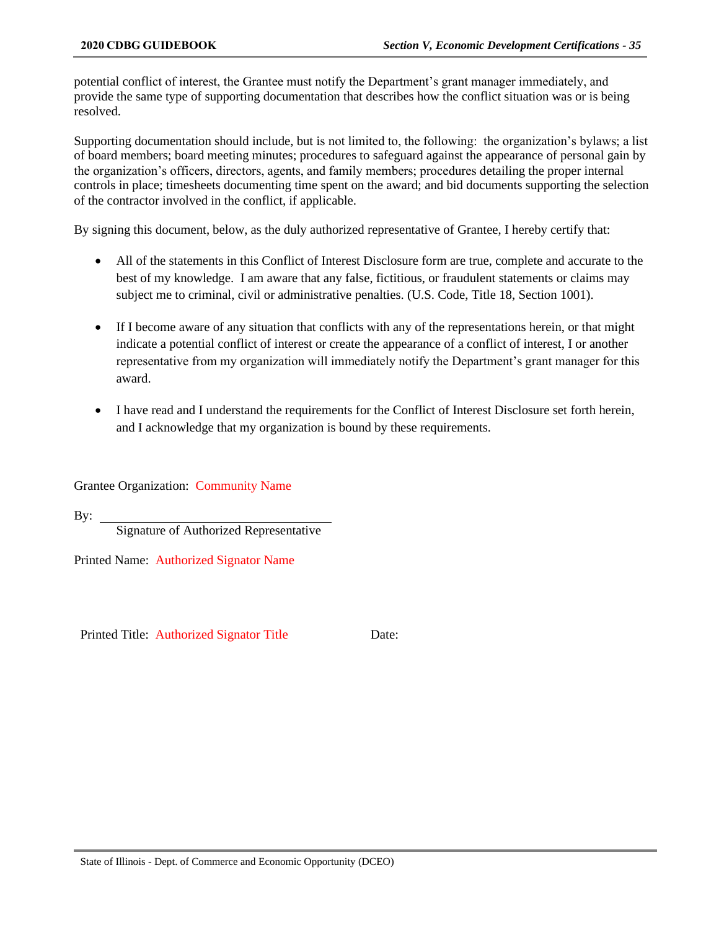potential conflict of interest, the Grantee must notify the Department's grant manager immediately, and provide the same type of supporting documentation that describes how the conflict situation was or is being resolved.

Supporting documentation should include, but is not limited to, the following: the organization's bylaws; a list of board members; board meeting minutes; procedures to safeguard against the appearance of personal gain by the organization's officers, directors, agents, and family members; procedures detailing the proper internal controls in place; timesheets documenting time spent on the award; and bid documents supporting the selection of the contractor involved in the conflict, if applicable.

By signing this document, below, as the duly authorized representative of Grantee, I hereby certify that:

- All of the statements in this Conflict of Interest Disclosure form are true, complete and accurate to the best of my knowledge. I am aware that any false, fictitious, or fraudulent statements or claims may subject me to criminal, civil or administrative penalties. (U.S. Code, Title 18, Section 1001).
- If I become aware of any situation that conflicts with any of the representations herein, or that might indicate a potential conflict of interest or create the appearance of a conflict of interest, I or another representative from my organization will immediately notify the Department's grant manager for this award.
- I have read and I understand the requirements for the Conflict of Interest Disclosure set forth herein, and I acknowledge that my organization is bound by these requirements.

Grantee Organization: Community Name

By:

Signature of Authorized Representative

Printed Name: Authorized Signator Name

Printed Title: Authorized Signator Title Date: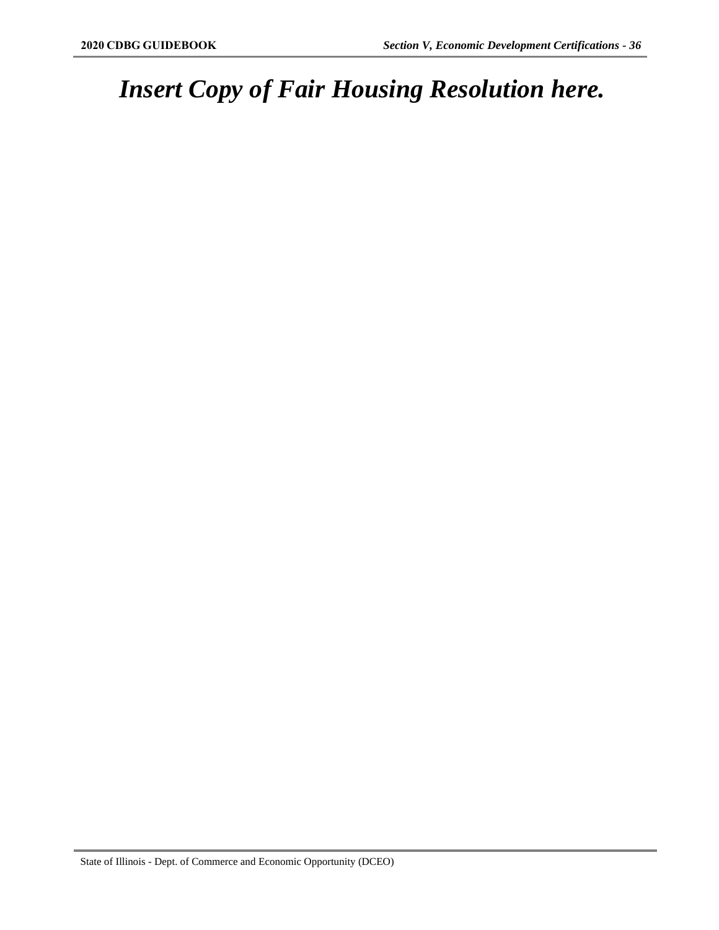# *Insert Copy of Fair Housing Resolution here.*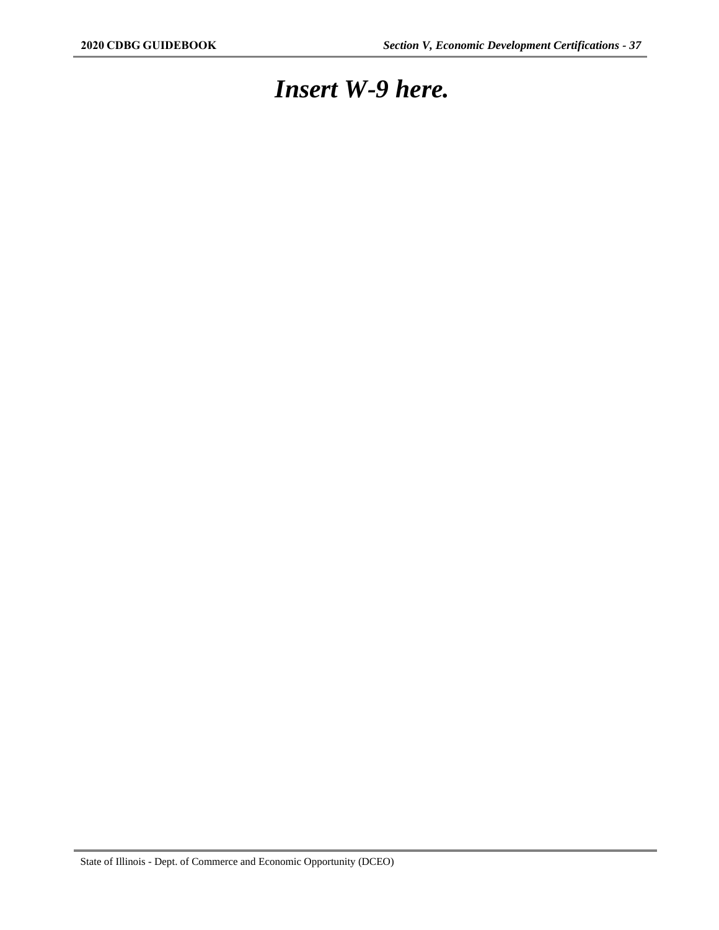### *Insert W-9 here.*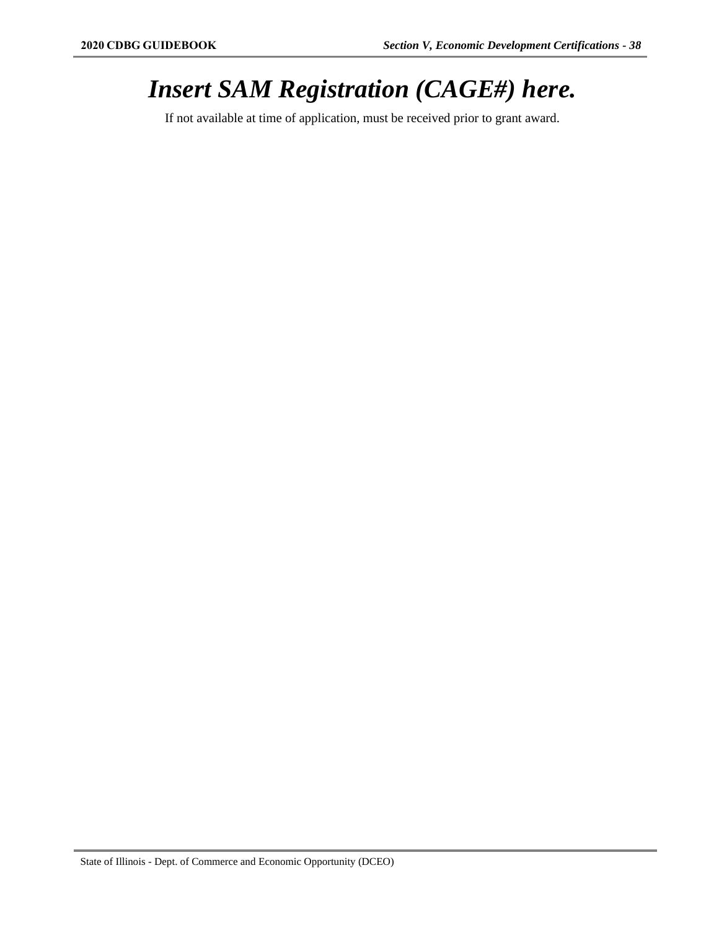## *Insert SAM Registration (CAGE#) here.*

If not available at time of application, must be received prior to grant award.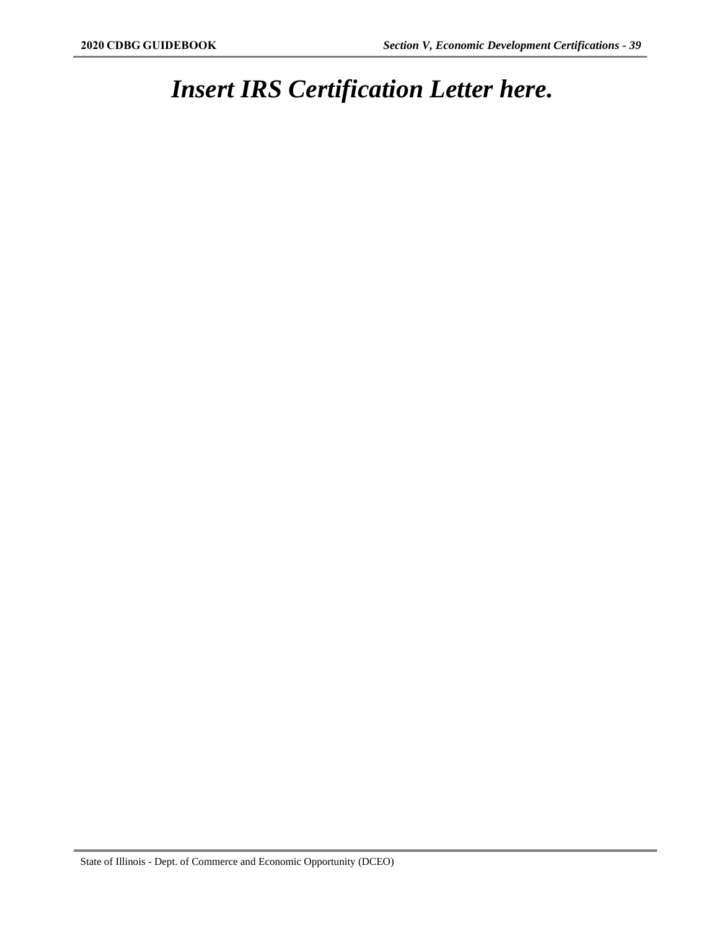# *Insert IRS Certification Letter here.*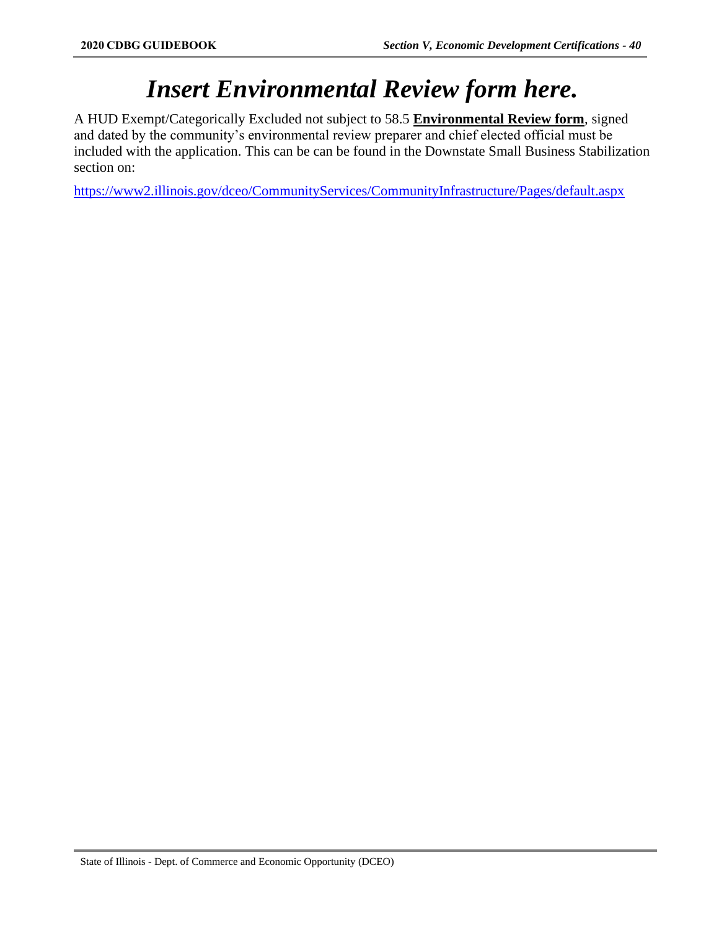### *Insert Environmental Review form here.*

A HUD Exempt/Categorically Excluded not subject to 58.5 **Environmental Review form**, signed and dated by the community's environmental review preparer and chief elected official must be included with the application. This can be can be found in the Downstate Small Business Stabilization section on:

<https://www2.illinois.gov/dceo/CommunityServices/CommunityInfrastructure/Pages/default.aspx>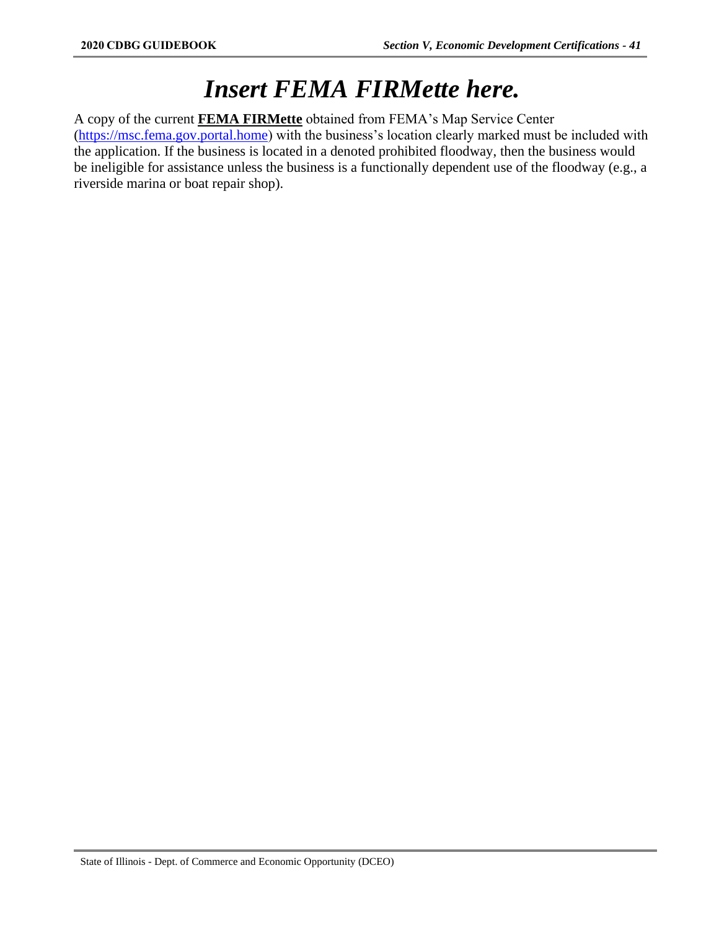### *Insert FEMA FIRMette here.*

A copy of the current **FEMA FIRMette** obtained from FEMA's Map Service Center [\(https://msc.fema.gov.portal.home\)](https://msc.fema.gov.portal.home/) with the business's location clearly marked must be included with the application. If the business is located in a denoted prohibited floodway, then the business would be ineligible for assistance unless the business is a functionally dependent use of the floodway (e.g., a riverside marina or boat repair shop).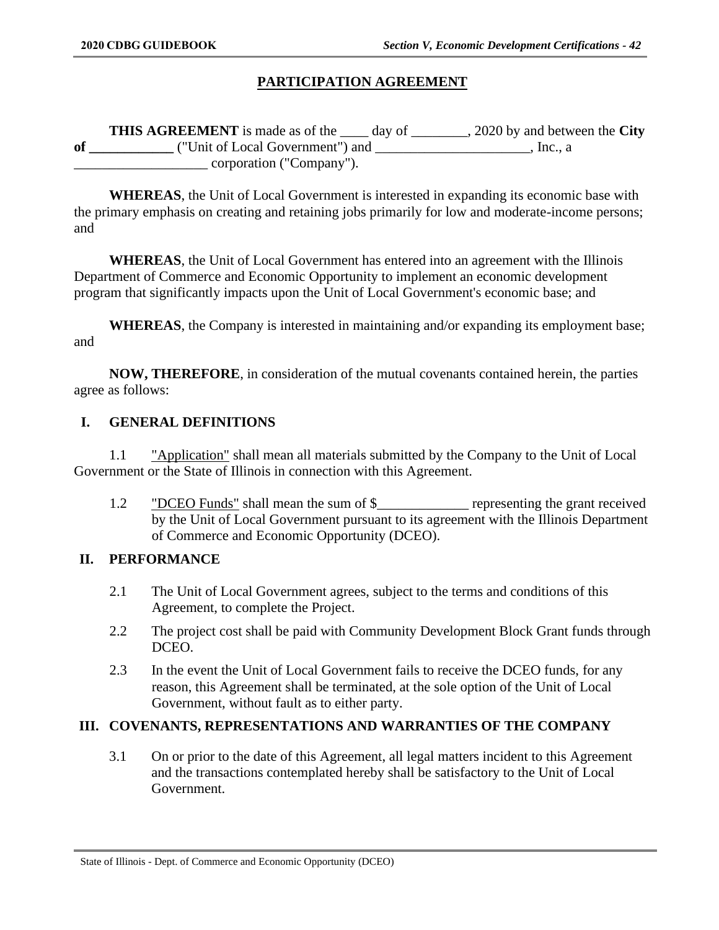### **PARTICIPATION AGREEMENT**

**THIS AGREEMENT** is made as of the \_\_\_\_ day of \_\_\_\_\_\_\_\_, 2020 by and between the **City of \_\_\_\_\_\_\_\_\_\_\_\_** ("Unit of Local Government") and \_\_\_\_\_\_\_\_\_\_\_\_\_\_\_\_\_\_\_\_\_\_, Inc., a \_\_\_\_\_\_\_\_\_\_\_\_\_\_\_\_\_\_\_ corporation ("Company").

**WHEREAS**, the Unit of Local Government is interested in expanding its economic base with the primary emphasis on creating and retaining jobs primarily for low and moderate-income persons; and

**WHEREAS**, the Unit of Local Government has entered into an agreement with the Illinois Department of Commerce and Economic Opportunity to implement an economic development program that significantly impacts upon the Unit of Local Government's economic base; and

**WHEREAS**, the Company is interested in maintaining and/or expanding its employment base; and

**NOW, THEREFORE**, in consideration of the mutual covenants contained herein, the parties agree as follows:

#### **I. GENERAL DEFINITIONS**

1.1 "Application" shall mean all materials submitted by the Company to the Unit of Local Government or the State of Illinois in connection with this Agreement.

1.2 "DCEO Funds" shall mean the sum of \$\_\_\_\_\_\_\_\_\_\_\_\_\_ representing the grant received by the Unit of Local Government pursuant to its agreement with the Illinois Department of Commerce and Economic Opportunity (DCEO).

### **II. PERFORMANCE**

- 2.1 The Unit of Local Government agrees, subject to the terms and conditions of this Agreement, to complete the Project.
- 2.2 The project cost shall be paid with Community Development Block Grant funds through DCEO.
- 2.3 In the event the Unit of Local Government fails to receive the DCEO funds, for any reason, this Agreement shall be terminated, at the sole option of the Unit of Local Government, without fault as to either party.

### **III. COVENANTS, REPRESENTATIONS AND WARRANTIES OF THE COMPANY**

3.1 On or prior to the date of this Agreement, all legal matters incident to this Agreement and the transactions contemplated hereby shall be satisfactory to the Unit of Local Government.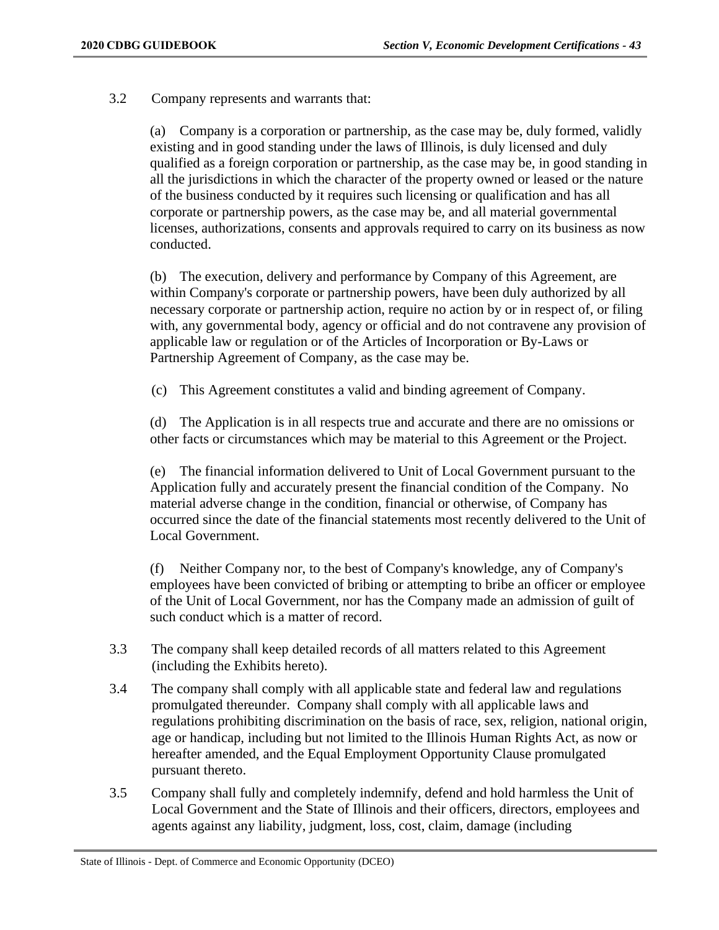3.2 Company represents and warrants that:

(a) Company is a corporation or partnership, as the case may be, duly formed, validly existing and in good standing under the laws of Illinois, is duly licensed and duly qualified as a foreign corporation or partnership, as the case may be, in good standing in all the jurisdictions in which the character of the property owned or leased or the nature of the business conducted by it requires such licensing or qualification and has all corporate or partnership powers, as the case may be, and all material governmental licenses, authorizations, consents and approvals required to carry on its business as now conducted.

(b) The execution, delivery and performance by Company of this Agreement, are within Company's corporate or partnership powers, have been duly authorized by all necessary corporate or partnership action, require no action by or in respect of, or filing with, any governmental body, agency or official and do not contravene any provision of applicable law or regulation or of the Articles of Incorporation or By-Laws or Partnership Agreement of Company, as the case may be.

(c) This Agreement constitutes a valid and binding agreement of Company.

(d) The Application is in all respects true and accurate and there are no omissions or other facts or circumstances which may be material to this Agreement or the Project.

(e) The financial information delivered to Unit of Local Government pursuant to the Application fully and accurately present the financial condition of the Company. No material adverse change in the condition, financial or otherwise, of Company has occurred since the date of the financial statements most recently delivered to the Unit of Local Government.

(f) Neither Company nor, to the best of Company's knowledge, any of Company's employees have been convicted of bribing or attempting to bribe an officer or employee of the Unit of Local Government, nor has the Company made an admission of guilt of such conduct which is a matter of record.

- 3.3 The company shall keep detailed records of all matters related to this Agreement (including the Exhibits hereto).
- 3.4 The company shall comply with all applicable state and federal law and regulations promulgated thereunder. Company shall comply with all applicable laws and regulations prohibiting discrimination on the basis of race, sex, religion, national origin, age or handicap, including but not limited to the Illinois Human Rights Act, as now or hereafter amended, and the Equal Employment Opportunity Clause promulgated pursuant thereto.
- 3.5 Company shall fully and completely indemnify, defend and hold harmless the Unit of Local Government and the State of Illinois and their officers, directors, employees and agents against any liability, judgment, loss, cost, claim, damage (including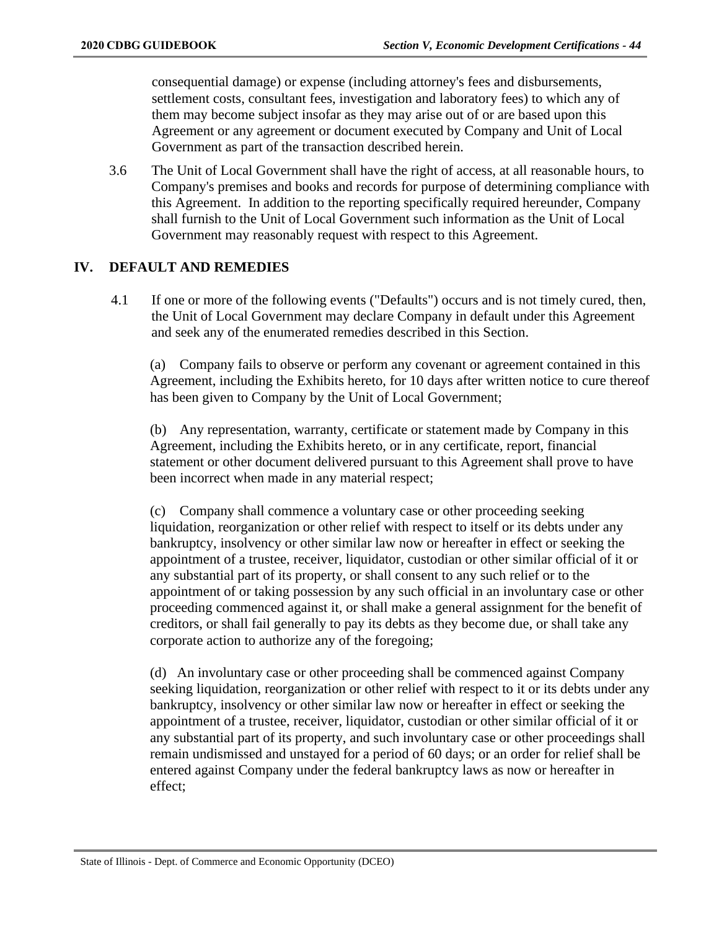consequential damage) or expense (including attorney's fees and disbursements, settlement costs, consultant fees, investigation and laboratory fees) to which any of them may become subject insofar as they may arise out of or are based upon this Agreement or any agreement or document executed by Company and Unit of Local Government as part of the transaction described herein.

3.6 The Unit of Local Government shall have the right of access, at all reasonable hours, to Company's premises and books and records for purpose of determining compliance with this Agreement. In addition to the reporting specifically required hereunder, Company shall furnish to the Unit of Local Government such information as the Unit of Local Government may reasonably request with respect to this Agreement.

### **IV. DEFAULT AND REMEDIES**

4.1 If one or more of the following events ("Defaults") occurs and is not timely cured, then, the Unit of Local Government may declare Company in default under this Agreement and seek any of the enumerated remedies described in this Section.

(a) Company fails to observe or perform any covenant or agreement contained in this Agreement, including the Exhibits hereto, for 10 days after written notice to cure thereof has been given to Company by the Unit of Local Government;

(b) Any representation, warranty, certificate or statement made by Company in this Agreement, including the Exhibits hereto, or in any certificate, report, financial statement or other document delivered pursuant to this Agreement shall prove to have been incorrect when made in any material respect;

(c) Company shall commence a voluntary case or other proceeding seeking liquidation, reorganization or other relief with respect to itself or its debts under any bankruptcy, insolvency or other similar law now or hereafter in effect or seeking the appointment of a trustee, receiver, liquidator, custodian or other similar official of it or any substantial part of its property, or shall consent to any such relief or to the appointment of or taking possession by any such official in an involuntary case or other proceeding commenced against it, or shall make a general assignment for the benefit of creditors, or shall fail generally to pay its debts as they become due, or shall take any corporate action to authorize any of the foregoing;

(d) An involuntary case or other proceeding shall be commenced against Company seeking liquidation, reorganization or other relief with respect to it or its debts under any bankruptcy, insolvency or other similar law now or hereafter in effect or seeking the appointment of a trustee, receiver, liquidator, custodian or other similar official of it or any substantial part of its property, and such involuntary case or other proceedings shall remain undismissed and unstayed for a period of 60 days; or an order for relief shall be entered against Company under the federal bankruptcy laws as now or hereafter in effect;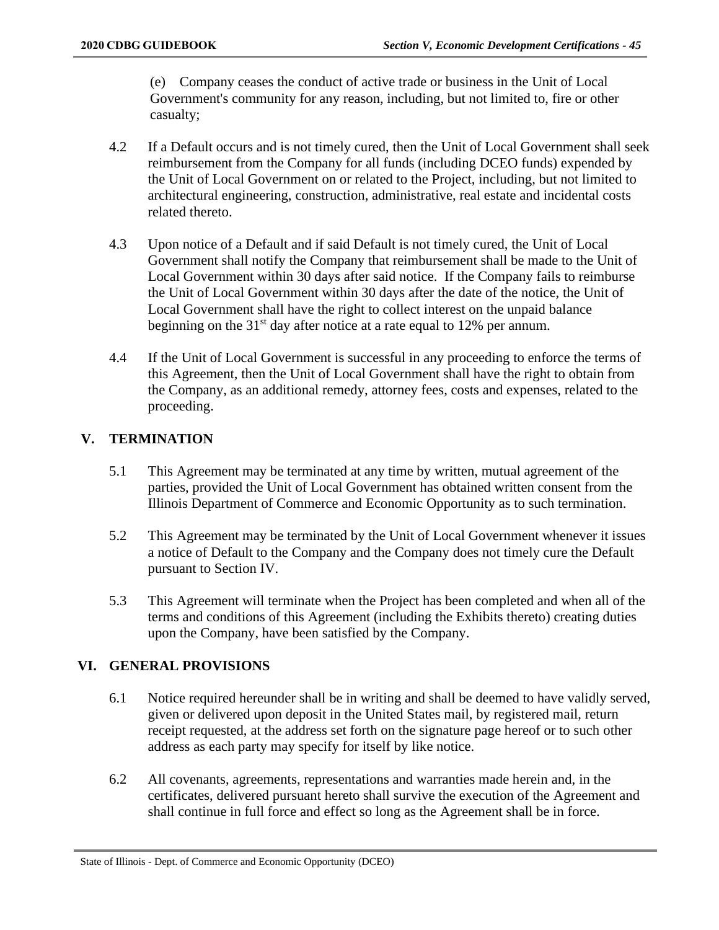(e) Company ceases the conduct of active trade or business in the Unit of Local Government's community for any reason, including, but not limited to, fire or other casualty;

- 4.2 If a Default occurs and is not timely cured, then the Unit of Local Government shall seek reimbursement from the Company for all funds (including DCEO funds) expended by the Unit of Local Government on or related to the Project, including, but not limited to architectural engineering, construction, administrative, real estate and incidental costs related thereto.
- 4.3 Upon notice of a Default and if said Default is not timely cured, the Unit of Local Government shall notify the Company that reimbursement shall be made to the Unit of Local Government within 30 days after said notice. If the Company fails to reimburse the Unit of Local Government within 30 days after the date of the notice, the Unit of Local Government shall have the right to collect interest on the unpaid balance beginning on the  $31<sup>st</sup>$  day after notice at a rate equal to 12% per annum.
- 4.4 If the Unit of Local Government is successful in any proceeding to enforce the terms of this Agreement, then the Unit of Local Government shall have the right to obtain from the Company, as an additional remedy, attorney fees, costs and expenses, related to the proceeding.

### **V. TERMINATION**

- 5.1 This Agreement may be terminated at any time by written, mutual agreement of the parties, provided the Unit of Local Government has obtained written consent from the Illinois Department of Commerce and Economic Opportunity as to such termination.
- 5.2 This Agreement may be terminated by the Unit of Local Government whenever it issues a notice of Default to the Company and the Company does not timely cure the Default pursuant to Section IV.
- 5.3 This Agreement will terminate when the Project has been completed and when all of the terms and conditions of this Agreement (including the Exhibits thereto) creating duties upon the Company, have been satisfied by the Company.

### **VI. GENERAL PROVISIONS**

- 6.1 Notice required hereunder shall be in writing and shall be deemed to have validly served, given or delivered upon deposit in the United States mail, by registered mail, return receipt requested, at the address set forth on the signature page hereof or to such other address as each party may specify for itself by like notice.
- 6.2 All covenants, agreements, representations and warranties made herein and, in the certificates, delivered pursuant hereto shall survive the execution of the Agreement and shall continue in full force and effect so long as the Agreement shall be in force.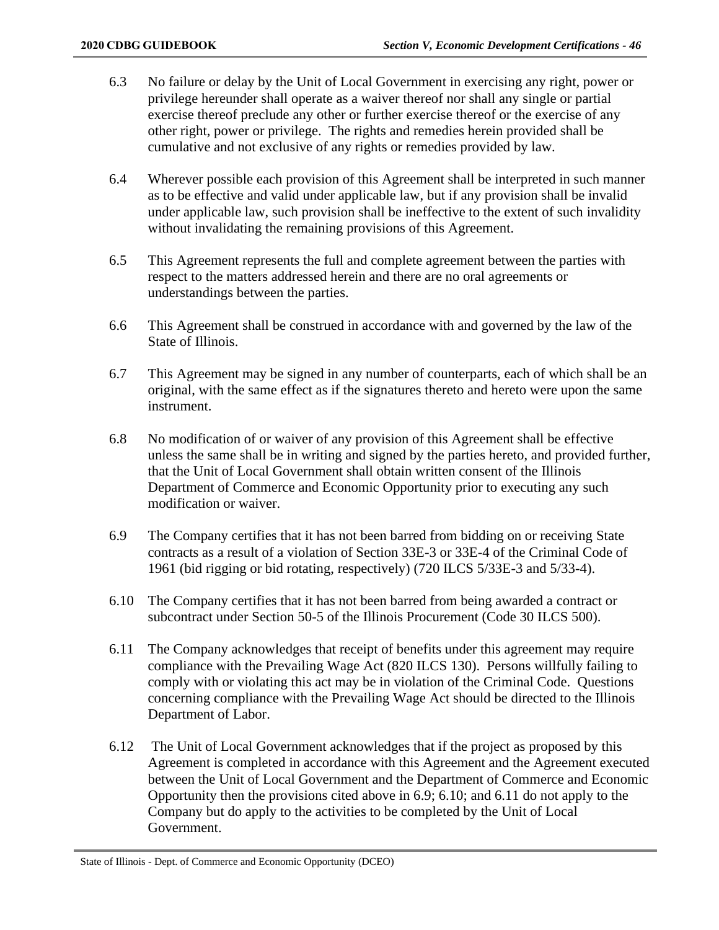- 6.3 No failure or delay by the Unit of Local Government in exercising any right, power or privilege hereunder shall operate as a waiver thereof nor shall any single or partial exercise thereof preclude any other or further exercise thereof or the exercise of any other right, power or privilege. The rights and remedies herein provided shall be cumulative and not exclusive of any rights or remedies provided by law.
- 6.4 Wherever possible each provision of this Agreement shall be interpreted in such manner as to be effective and valid under applicable law, but if any provision shall be invalid under applicable law, such provision shall be ineffective to the extent of such invalidity without invalidating the remaining provisions of this Agreement.
- 6.5 This Agreement represents the full and complete agreement between the parties with respect to the matters addressed herein and there are no oral agreements or understandings between the parties.
- 6.6 This Agreement shall be construed in accordance with and governed by the law of the State of Illinois.
- 6.7 This Agreement may be signed in any number of counterparts, each of which shall be an original, with the same effect as if the signatures thereto and hereto were upon the same instrument.
- 6.8 No modification of or waiver of any provision of this Agreement shall be effective unless the same shall be in writing and signed by the parties hereto, and provided further, that the Unit of Local Government shall obtain written consent of the Illinois Department of Commerce and Economic Opportunity prior to executing any such modification or waiver.
- 6.9 The Company certifies that it has not been barred from bidding on or receiving State contracts as a result of a violation of Section 33E-3 or 33E-4 of the Criminal Code of 1961 (bid rigging or bid rotating, respectively) (720 ILCS 5/33E-3 and 5/33-4).
- 6.10 The Company certifies that it has not been barred from being awarded a contract or subcontract under Section 50-5 of the Illinois Procurement (Code 30 ILCS 500).
- 6.11 The Company acknowledges that receipt of benefits under this agreement may require compliance with the Prevailing Wage Act (820 ILCS 130). Persons willfully failing to comply with or violating this act may be in violation of the Criminal Code. Questions concerning compliance with the Prevailing Wage Act should be directed to the Illinois Department of Labor.
- 6.12 The Unit of Local Government acknowledges that if the project as proposed by this Agreement is completed in accordance with this Agreement and the Agreement executed between the Unit of Local Government and the Department of Commerce and Economic Opportunity then the provisions cited above in 6.9; 6.10; and 6.11 do not apply to the Company but do apply to the activities to be completed by the Unit of Local Government.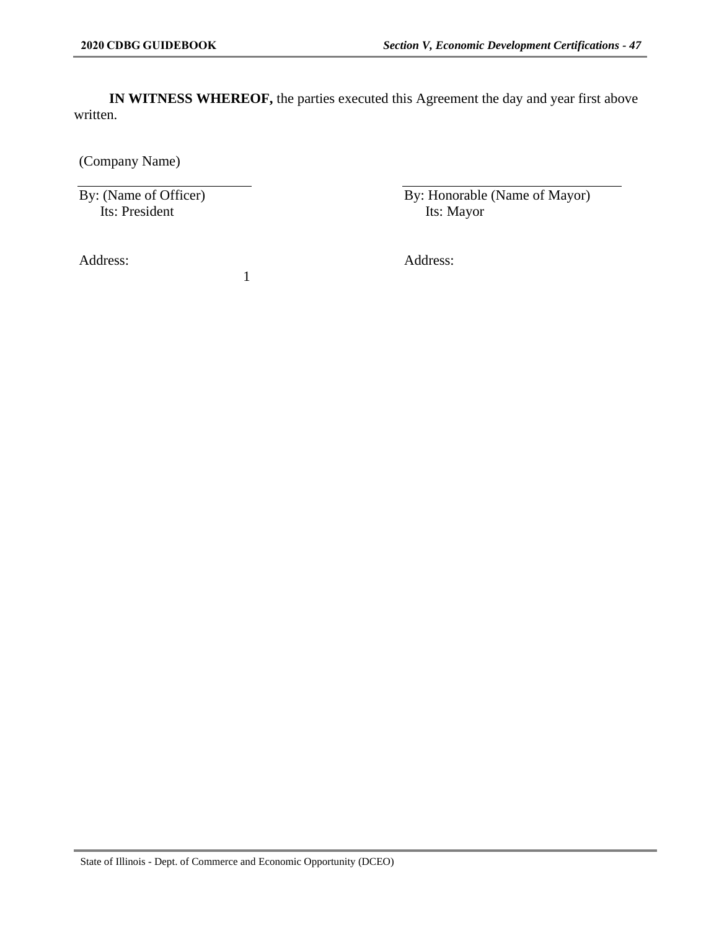**IN WITNESS WHEREOF,** the parties executed this Agreement the day and year first above written.

(Company Name)

By: (Name of Officer) Its: President

1

By: Honorable (Name of Mayor) Its: Mayor

Address: Address: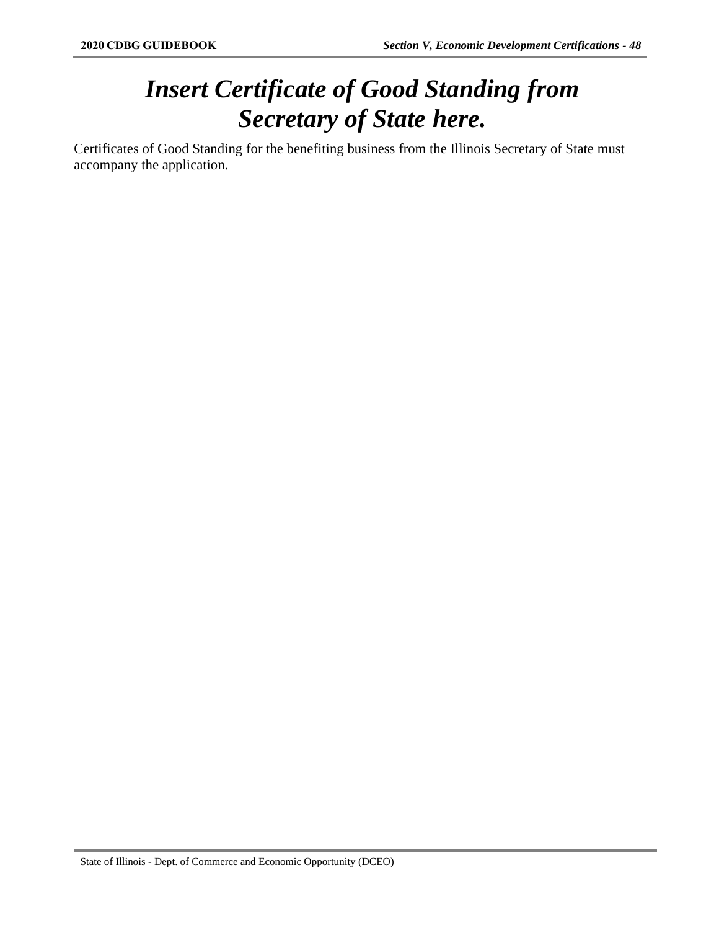## *Insert Certificate of Good Standing from Secretary of State here.*

Certificates of Good Standing for the benefiting business from the Illinois Secretary of State must accompany the application.